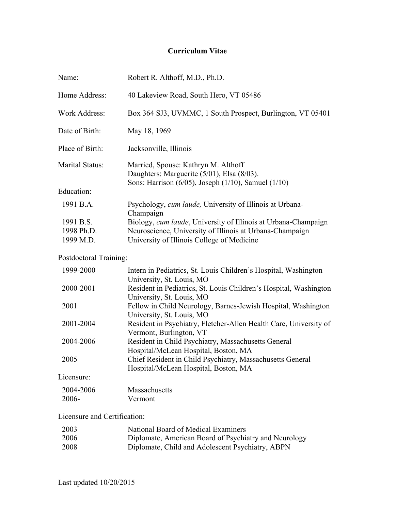# **Curriculum Vitae**

| Name:                                | Robert R. Althoff, M.D., Ph.D.                                                                                                                                           |
|--------------------------------------|--------------------------------------------------------------------------------------------------------------------------------------------------------------------------|
| Home Address:                        | 40 Lakeview Road, South Hero, VT 05486                                                                                                                                   |
| <b>Work Address:</b>                 | Box 364 SJ3, UVMMC, 1 South Prospect, Burlington, VT 05401                                                                                                               |
| Date of Birth:                       | May 18, 1969                                                                                                                                                             |
| Place of Birth:                      | Jacksonville, Illinois                                                                                                                                                   |
| Marital Status:                      | Married, Spouse: Kathryn M. Althoff<br>Daughters: Marguerite (5/01), Elsa (8/03).                                                                                        |
| Education:                           | Sons: Harrison (6/05), Joseph (1/10), Samuel (1/10)                                                                                                                      |
| 1991 B.A.                            | Psychology, cum laude, University of Illinois at Urbana-<br>Champaign                                                                                                    |
| 1991 B.S.<br>1998 Ph.D.<br>1999 M.D. | Biology, cum laude, University of Illinois at Urbana-Champaign<br>Neuroscience, University of Illinois at Urbana-Champaign<br>University of Illinois College of Medicine |
| Postdoctoral Training:               |                                                                                                                                                                          |
| 1999-2000                            | Intern in Pediatrics, St. Louis Children's Hospital, Washington<br>University, St. Louis, MO                                                                             |
| 2000-2001                            | Resident in Pediatrics, St. Louis Children's Hospital, Washington<br>University, St. Louis, MO                                                                           |
| 2001                                 | Fellow in Child Neurology, Barnes-Jewish Hospital, Washington<br>University, St. Louis, MO                                                                               |
| 2001-2004                            | Resident in Psychiatry, Fletcher-Allen Health Care, University of<br>Vermont, Burlington, VT                                                                             |
| 2004-2006                            | Resident in Child Psychiatry, Massachusetts General<br>Hospital/McLean Hospital, Boston, MA                                                                              |
| 2005                                 | Chief Resident in Child Psychiatry, Massachusetts General<br>Hospital/McLean Hospital, Boston, MA                                                                        |
| Licensure:                           |                                                                                                                                                                          |
| 2004-2006<br>2006-                   | Massachusetts<br>Vermont                                                                                                                                                 |

# Licensure and Certification:

| 2003 | National Board of Medical Examiners                   |
|------|-------------------------------------------------------|
| 2006 | Diplomate, American Board of Psychiatry and Neurology |
| 2008 | Diplomate, Child and Adolescent Psychiatry, ABPN      |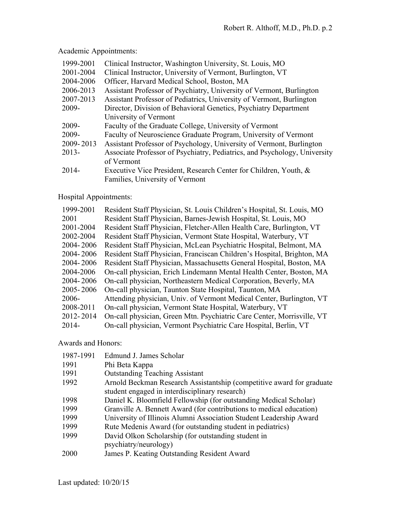Academic Appointments:

| 1999-2001 | Clinical Instructor, Washington University, St. Louis, MO                 |
|-----------|---------------------------------------------------------------------------|
| 2001-2004 | Clinical Instructor, University of Vermont, Burlington, VT                |
| 2004-2006 | Officer, Harvard Medical School, Boston, MA                               |
| 2006-2013 | Assistant Professor of Psychiatry, University of Vermont, Burlington      |
| 2007-2013 | Assistant Professor of Pediatrics, University of Vermont, Burlington      |
| 2009-     | Director, Division of Behavioral Genetics, Psychiatry Department          |
|           | University of Vermont                                                     |
| 2009-     | Faculty of the Graduate College, University of Vermont                    |
| 2009-     | Faculty of Neuroscience Graduate Program, University of Vermont           |
| 2009-2013 | Assistant Professor of Psychology, University of Vermont, Burlington      |
| $2013-$   | Associate Professor of Psychiatry, Pediatrics, and Psychology, University |
|           | of Vermont                                                                |
| 2014-     | Executive Vice President, Research Center for Children, Youth, &          |
|           | Families, University of Vermont                                           |

# Hospital Appointments:

| 1999-2001 | Resident Staff Physician, St. Louis Children's Hospital, St. Louis, MO |
|-----------|------------------------------------------------------------------------|
| 2001      | Resident Staff Physician, Barnes-Jewish Hospital, St. Louis, MO        |
| 2001-2004 | Resident Staff Physician, Fletcher-Allen Health Care, Burlington, VT   |
| 2002-2004 | Resident Staff Physician, Vermont State Hospital, Waterbury, VT        |
| 2004-2006 | Resident Staff Physician, McLean Psychiatric Hospital, Belmont, MA     |
| 2004-2006 | Resident Staff Physician, Franciscan Children's Hospital, Brighton, MA |
| 2004-2006 | Resident Staff Physician, Massachusetts General Hospital, Boston, MA   |
| 2004-2006 | On-call physician, Erich Lindemann Mental Health Center, Boston, MA    |
| 2004-2006 | On-call physician, Northeastern Medical Corporation, Beverly, MA       |
| 2005-2006 | On-call physician, Taunton State Hospital, Taunton, MA                 |
| 2006-     | Attending physician, Univ. of Vermont Medical Center, Burlington, VT   |
| 2008-2011 | On-call physician, Vermont State Hospital, Waterbury, VT               |
| 2012-2014 | On-call physician, Green Mtn. Psychiatric Care Center, Morrisville, VT |
| $2014 -$  | On-call physician, Vermont Psychiatric Care Hospital, Berlin, VT       |

Awards and Honors:

| 1987-1991 | Edmund J. James Scholar                                               |
|-----------|-----------------------------------------------------------------------|
| 1991      | Phi Beta Kappa                                                        |
| 1991      | <b>Outstanding Teaching Assistant</b>                                 |
| 1992      | Arnold Beckman Research Assistantship (competitive award for graduate |
|           | student engaged in interdisciplinary research)                        |
| 1998      | Daniel K. Bloomfield Fellowship (for outstanding Medical Scholar)     |
| 1999      | Granville A. Bennett Award (for contributions to medical education)   |
| 1999      | University of Illinois Alumni Association Student Leadership Award    |
| 1999      | Rute Medenis Award (for outstanding student in pediatrics)            |
| 1999      | David Olkon Scholarship (for outstanding student in                   |
|           | psychiatry/neurology)                                                 |
| 2000      | James P. Keating Outstanding Resident Award                           |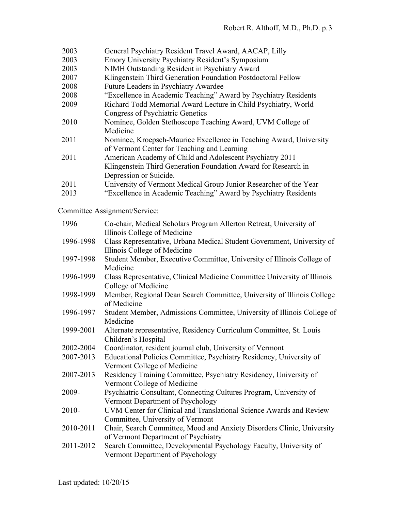| 2003 | General Psychiatry Resident Travel Award, AACAP, Lilly             |
|------|--------------------------------------------------------------------|
| 2003 | Emory University Psychiatry Resident's Symposium                   |
| 2003 | NIMH Outstanding Resident in Psychiatry Award                      |
| 2007 | Klingenstein Third Generation Foundation Postdoctoral Fellow       |
| 2008 | Future Leaders in Psychiatry Awardee                               |
| 2008 | "Excellence in Academic Teaching" Award by Psychiatry Residents    |
| 2009 | Richard Todd Memorial Award Lecture in Child Psychiatry, World     |
|      | <b>Congress of Psychiatric Genetics</b>                            |
| 2010 | Nominee, Golden Stethoscope Teaching Award, UVM College of         |
|      | Medicine                                                           |
| 2011 | Nominee, Kroepsch-Maurice Excellence in Teaching Award, University |
|      | of Vermont Center for Teaching and Learning                        |
| 2011 | American Academy of Child and Adolescent Psychiatry 2011           |
|      | Klingenstein Third Generation Foundation Award for Research in     |
|      | Depression or Suicide.                                             |
| 2011 | University of Vermont Medical Group Junior Researcher of the Year  |
| 2013 | "Excellence in Academic Teaching" Award by Psychiatry Residents    |
|      |                                                                    |

Committee Assignment/Service:

| 1996      | Co-chair, Medical Scholars Program Allerton Retreat, University of<br>Illinois College of Medicine            |
|-----------|---------------------------------------------------------------------------------------------------------------|
| 1996-1998 | Class Representative, Urbana Medical Student Government, University of<br>Illinois College of Medicine        |
| 1997-1998 | Student Member, Executive Committee, University of Illinois College of<br>Medicine                            |
| 1996-1999 | Class Representative, Clinical Medicine Committee University of Illinois<br>College of Medicine               |
| 1998-1999 | Member, Regional Dean Search Committee, University of Illinois College<br>of Medicine                         |
| 1996-1997 | Student Member, Admissions Committee, University of Illinois College of<br>Medicine                           |
| 1999-2001 | Alternate representative, Residency Curriculum Committee, St. Louis<br>Children's Hospital                    |
| 2002-2004 | Coordinator, resident journal club, University of Vermont                                                     |
| 2007-2013 | Educational Policies Committee, Psychiatry Residency, University of<br>Vermont College of Medicine            |
| 2007-2013 | Residency Training Committee, Psychiatry Residency, University of<br>Vermont College of Medicine              |
| 2009-     | Psychiatric Consultant, Connecting Cultures Program, University of<br>Vermont Department of Psychology        |
| $2010-$   | UVM Center for Clinical and Translational Science Awards and Review<br>Committee, University of Vermont       |
| 2010-2011 | Chair, Search Committee, Mood and Anxiety Disorders Clinic, University<br>of Vermont Department of Psychiatry |
| 2011-2012 | Search Committee, Developmental Psychology Faculty, University of<br>Vermont Department of Psychology         |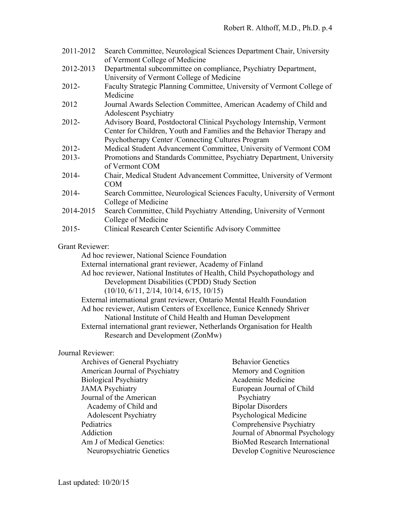| 2011-2012 Search Committee, Neurological Sciences Department Chair, University |
|--------------------------------------------------------------------------------|
| of Vermont College of Medicine                                                 |
| 2012-2013 Departmental subcommittee on compliance Devohiatry Department        |

- 2012-2013 Departmental subcommittee on compliance, Psychiatry Department, University of Vermont College of Medicine
- 2012- Faculty Strategic Planning Committee, University of Vermont College of Medicine
- 2012 Journal Awards Selection Committee, American Academy of Child and Adolescent Psychiatry
- 2012- Advisory Board, Postdoctoral Clinical Psychology Internship, Vermont Center for Children, Youth and Families and the Behavior Therapy and Psychotherapy Center /Connecting Cultures Program
- 2012- Medical Student Advancement Committee, University of Vermont COM
- 2013- Promotions and Standards Committee, Psychiatry Department, University of Vermont COM
- 2014- Chair, Medical Student Advancement Committee, University of Vermont COM
- 2014- Search Committee, Neurological Sciences Faculty, University of Vermont College of Medicine
- 2014-2015 Search Committee, Child Psychiatry Attending, University of Vermont College of Medicine
- 2015- Clinical Research Center Scientific Advisory Committee

## Grant Reviewer:

Ad hoc reviewer, National Science Foundation

External international grant reviewer, Academy of Finland

Ad hoc reviewer, National Institutes of Health, Child Psychopathology and Development Disabilities (CPDD) Study Section (10/10, 6/11, 2/14, 10/14, 6/15, 10/15)

External international grant reviewer, Ontario Mental Health Foundation Ad hoc reviewer, Autism Centers of Excellence, Eunice Kennedy Shriver National Institute of Child Health and Human Development External international grant reviewer, Netherlands Organisation for Health

Research and Development (ZonMw)

## Journal Reviewer:

| <b>Archives of General Psychiatry</b> | <b>Behavior Genetics</b>             |
|---------------------------------------|--------------------------------------|
| <b>American Journal of Psychiatry</b> | Memory and Cognition                 |
| <b>Biological Psychiatry</b>          | Academic Medicine                    |
| <b>JAMA Psychiatry</b>                | European Journal of Child            |
| Journal of the American               | Psychiatry                           |
| Academy of Child and                  | <b>Bipolar Disorders</b>             |
| <b>Adolescent Psychiatry</b>          | Psychological Medicine               |
| Pediatrics                            | <b>Comprehensive Psychiatry</b>      |
| Addiction                             | Journal of Abnormal Psychology       |
| Am J of Medical Genetics:             | <b>BioMed Research International</b> |
| Neuropsychiatric Genetics             | Develop Cognitive Neuroscience       |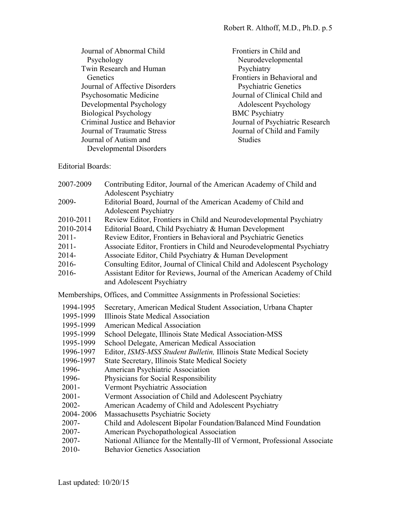| Journal of Abnormal Child      | Frontiers in Child and          |
|--------------------------------|---------------------------------|
| Psychology                     | Neurodevelopmental              |
| Twin Research and Human        | Psychiatry                      |
| Genetics                       | Frontiers in Behavioral and     |
| Journal of Affective Disorders | <b>Psychiatric Genetics</b>     |
| Psychosomatic Medicine         | Journal of Clinical Child and   |
| Developmental Psychology       | <b>Adolescent Psychology</b>    |
| <b>Biological Psychology</b>   | <b>BMC</b> Psychiatry           |
| Criminal Justice and Behavior  | Journal of Psychiatric Research |
| Journal of Traumatic Stress    | Journal of Child and Family     |
| Journal of Autism and          | <b>Studies</b>                  |
| Developmental Disorders        |                                 |

Editorial Boards:

| 2007-2009                                                                                                                                                        | Contributing Editor, Journal of the American Academy of Child and<br><b>Adolescent Psychiatry</b>                                                                                                                                                                                                                                                                                                                                                                                                                                                                                                                                                                                                                         |
|------------------------------------------------------------------------------------------------------------------------------------------------------------------|---------------------------------------------------------------------------------------------------------------------------------------------------------------------------------------------------------------------------------------------------------------------------------------------------------------------------------------------------------------------------------------------------------------------------------------------------------------------------------------------------------------------------------------------------------------------------------------------------------------------------------------------------------------------------------------------------------------------------|
| 2009-                                                                                                                                                            | Editorial Board, Journal of the American Academy of Child and<br><b>Adolescent Psychiatry</b>                                                                                                                                                                                                                                                                                                                                                                                                                                                                                                                                                                                                                             |
| 2010-2011<br>2010-2014<br>$2011 -$<br>$2011 -$<br>2014-<br>$2016 -$<br>2016-                                                                                     | Review Editor, Frontiers in Child and Neurodevelopmental Psychiatry<br>Editorial Board, Child Psychiatry & Human Development<br>Review Editor, Frontiers in Behavioral and Psychiatric Genetics<br>Associate Editor, Frontiers in Child and Neurodevelopmental Psychiatry<br>Associate Editor, Child Psychiatry & Human Development<br>Consulting Editor, Journal of Clinical Child and Adolescent Psychology<br>Assistant Editor for Reviews, Journal of the American Academy of Child<br>and Adolescent Psychiatry                                                                                                                                                                                                      |
|                                                                                                                                                                  | Memberships, Offices, and Committee Assignments in Professional Societies:                                                                                                                                                                                                                                                                                                                                                                                                                                                                                                                                                                                                                                                |
| 1994-1995<br>1995-1999<br>1995-1999<br>1995-1999<br>1995-1999<br>1996-1997<br>1996-1997<br>1996-<br>1996-<br>$2001 -$<br>$2001 -$<br>2002-<br>2004-2006<br>2007- | Secretary, American Medical Student Association, Urbana Chapter<br>Illinois State Medical Association<br><b>American Medical Association</b><br>School Delegate, Illinois State Medical Association-MSS<br>School Delegate, American Medical Association<br>Editor, ISMS-MSS Student Bulletin, Illinois State Medical Society<br>State Secretary, Illinois State Medical Society<br>American Psychiatric Association<br>Physicians for Social Responsibility<br>Vermont Psychiatric Association<br>Vermont Association of Child and Adolescent Psychiatry<br>American Academy of Child and Adolescent Psychiatry<br>Massachusetts Psychiatric Society<br>Child and Adolescent Bipolar Foundation/Balanced Mind Foundation |
| 2007-                                                                                                                                                            | American Psychopathological Association                                                                                                                                                                                                                                                                                                                                                                                                                                                                                                                                                                                                                                                                                   |
| 2007-<br>$2010-$                                                                                                                                                 | National Alliance for the Mentally-Ill of Vermont, Professional Associate<br><b>Behavior Genetics Association</b>                                                                                                                                                                                                                                                                                                                                                                                                                                                                                                                                                                                                         |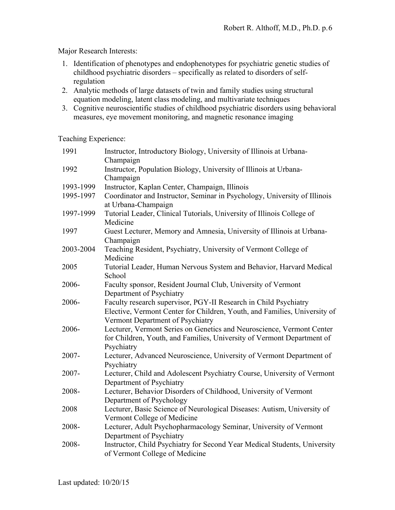Major Research Interests:

- 1. Identification of phenotypes and endophenotypes for psychiatric genetic studies of childhood psychiatric disorders – specifically as related to disorders of selfregulation
- 2. Analytic methods of large datasets of twin and family studies using structural equation modeling, latent class modeling, and multivariate techniques
- 3. Cognitive neuroscientific studies of childhood psychiatric disorders using behavioral measures, eye movement monitoring, and magnetic resonance imaging

Teaching Experience:

| 1991      | Instructor, Introductory Biology, University of Illinois at Urbana-       |
|-----------|---------------------------------------------------------------------------|
|           | Champaign                                                                 |
| 1992      | Instructor, Population Biology, University of Illinois at Urbana-         |
|           | Champaign                                                                 |
| 1993-1999 | Instructor, Kaplan Center, Champaign, Illinois                            |
| 1995-1997 | Coordinator and Instructor, Seminar in Psychology, University of Illinois |
|           | at Urbana-Champaign                                                       |
| 1997-1999 | Tutorial Leader, Clinical Tutorials, University of Illinois College of    |
|           | Medicine                                                                  |
| 1997      | Guest Lecturer, Memory and Amnesia, University of Illinois at Urbana-     |
|           | Champaign                                                                 |
| 2003-2004 | Teaching Resident, Psychiatry, University of Vermont College of           |
|           | Medicine                                                                  |
| 2005      | Tutorial Leader, Human Nervous System and Behavior, Harvard Medical       |
|           | School                                                                    |
| 2006-     | Faculty sponsor, Resident Journal Club, University of Vermont             |
|           | Department of Psychiatry                                                  |
| 2006-     | Faculty research supervisor, PGY-II Research in Child Psychiatry          |
|           | Elective, Vermont Center for Children, Youth, and Families, University of |
|           | Vermont Department of Psychiatry                                          |
| 2006-     | Lecturer, Vermont Series on Genetics and Neuroscience, Vermont Center     |
|           | for Children, Youth, and Families, University of Vermont Department of    |
|           | Psychiatry                                                                |
| 2007-     | Lecturer, Advanced Neuroscience, University of Vermont Department of      |
|           | Psychiatry                                                                |
| 2007-     | Lecturer, Child and Adolescent Psychiatry Course, University of Vermont   |
|           | Department of Psychiatry                                                  |
| 2008-     | Lecturer, Behavior Disorders of Childhood, University of Vermont          |
|           | Department of Psychology                                                  |
| 2008      | Lecturer, Basic Science of Neurological Diseases: Autism, University of   |
|           | Vermont College of Medicine                                               |
| 2008-     | Lecturer, Adult Psychopharmacology Seminar, University of Vermont         |
|           | Department of Psychiatry                                                  |
| 2008-     | Instructor, Child Psychiatry for Second Year Medical Students, University |
|           | of Vermont College of Medicine                                            |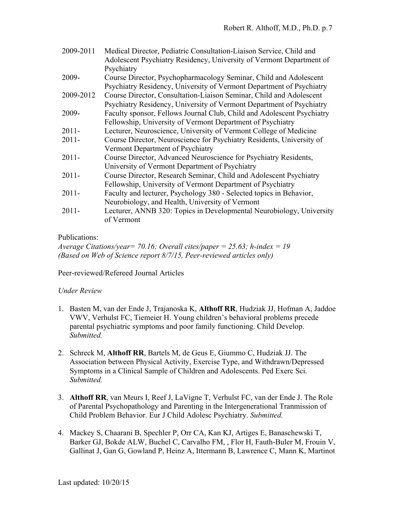| Medical Director, Pediatric Consultation-Liaison Service, Child and<br>Adolescent Psychiatry Residency, University of Vermont Department of<br>Psychiatry |
|-----------------------------------------------------------------------------------------------------------------------------------------------------------|
| Course Director, Psychopharmacology Seminar, Child and Adolescent                                                                                         |
| Psychiatry Residency, University of Vermont Department of Psychiatry                                                                                      |
| Course Director, Consultation-Liaison Seminar, Child and Adolescent                                                                                       |
| Psychiatry Residency, University of Vermont Department of Psychiatry                                                                                      |
| Faculty sponsor, Fellows Journal Club, Child and Adolescent Psychiatry                                                                                    |
| Fellowship, University of Vermont Department of Psychiatry                                                                                                |
| Lecturer, Neuroscience, University of Vermont College of Medicine                                                                                         |
| Course Director, Neuroscience for Psychiatry Residents, University of                                                                                     |
| Vermont Department of Psychiatry                                                                                                                          |
| Course Director, Advanced Neuroscience for Psychiatry Residents,                                                                                          |
| University of Vermont Department of Psychiatry                                                                                                            |
| Course Director, Research Seminar, Child and Adolescent Psychiatry                                                                                        |
| Fellowship, University of Vermont Department of Psychiatry                                                                                                |
| Faculty and lecturer, Psychology 380 - Selected topics in Behavior,                                                                                       |
| Neurobiology, and Health, University of Vermont                                                                                                           |
| Lecturer, ANNB 320: Topics in Developmental Neurobiology, University<br>of Vermont                                                                        |
|                                                                                                                                                           |

## Publications:

*Average Citations/year= 70.16; Overall cites/paper = 25.63; h-index = 19 (Based on Web of Science report 8/7/15, Peer-reviewed articles only)*

Peer-reviewed/Refereed Journal Articles

## *Under Review*

- 1. Basten M, van der Ende J, Trajanoska K, **Althoff RR**, Hudziak JJ, Hofman A, Jaddoe VWV, Verhulst FC, Tiemeier H. Young children's behavioral problems precede parental psychiatric symptoms and poor family functioning. Child Develop. *Submitted.*
- 2. Schreck M, **Althoff RR**, Bartels M, de Geus E, Giummo C, Hudziak JJ. The Association between Physical Activity, Exercise Type, and Withdrawn/Depressed Symptoms in a Clinical Sample of Children and Adolescents. Ped Exerc Sci. *Submitted.*
- 3. **Althoff RR**, van Meurs I, Reef J, LaVigne T, Verhulst FC, van der Ende J. The Role of Parental Psychopathology and Parenting in the Intergenerational Tranmission of Child Problem Behavior. Eur J Child Adolesc Psychiatry. *Submitted.*
- 4. Mackey S, Chaarani B, Spechler P, Orr CA, Kan KJ, Artiges E, Banaschewski T, Barker GJ, Bokde ALW, Buchel C, Carvalho FM, , Flor H, Fauth-Buler M, Frouin V, Gallinat J, Gan G, Gowland P, Heinz A, Ittermann B, Lawrence C, Mann K, Martinot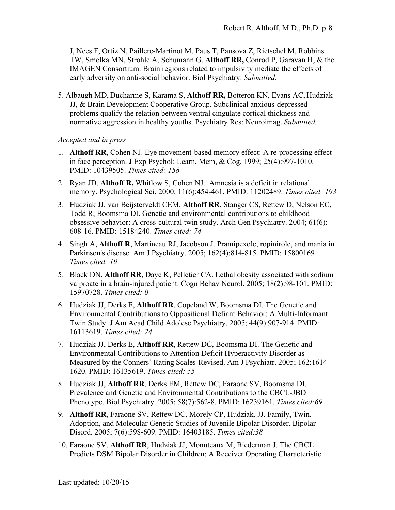J, Nees F, Ortiz N, Paillere-Martinot M, Paus T, Pausova Z, Rietschel M, Robbins TW, Smolka MN, Strohle A, Schumann G, **Althoff RR,** Conrod P, Garavan H, & the IMAGEN Consortium. Brain regions related to impulsivity mediate the effects of early adversity on anti-social behavior. Biol Psychiatry. *Submitted.*

5. Albaugh MD, Ducharme S, Karama S, **Althoff RR,** Botteron KN, Evans AC, Hudziak JJ, & Brain Development Cooperative Group. Subclinical anxious-depressed problems qualify the relation between ventral cingulate cortical thickness and normative aggression in healthy youths. Psychiatry Res: Neuroimag. *Submitted.*

## *Accepted and in press*

- 1. **Althoff RR**, Cohen NJ. Eye movement-based memory effect: A re-processing effect in face perception. J Exp Psychol: Learn, Mem, & Cog. 1999; 25(4):997-1010. PMID: 10439505. *Times cited: 158*
- 2. Ryan JD, **Althoff R,** Whitlow S, Cohen NJ. Amnesia is a deficit in relational memory. Psychological Sci. 2000; 11(6):454-461. PMID: 11202489. *Times cited: 193*
- 3. Hudziak JJ, van Beijsterveldt CEM, **Althoff RR**, Stanger CS, Rettew D, Nelson EC, Todd R, Boomsma DI. Genetic and environmental contributions to childhood obsessive behavior: A cross-cultural twin study. Arch Gen Psychiatry. 2004; 61(6): 608-16. PMID: 15184240. *Times cited: 74*
- 4. Singh A, **Althoff R**, Martineau RJ, Jacobson J. Pramipexole, ropinirole, and mania in Parkinson's disease. Am J Psychiatry. 2005; 162(4):814-815. PMID: 15800169*. Times cited: 19*
- 5. Black DN, **Althoff RR**, Daye K, Pelletier CA. Lethal obesity associated with sodium valproate in a brain-injured patient. Cogn Behav Neurol. 2005; 18(2):98-101. PMID: 15970728. *Times cited: 0*
- 6. Hudziak JJ, Derks E, **Althoff RR**, Copeland W, Boomsma DI. The Genetic and Environmental Contributions to Oppositional Defiant Behavior: A Multi-Informant Twin Study. J Am Acad Child Adolesc Psychiatry. 2005; 44(9):907-914. PMID: 16113619. *Times cited: 24*
- 7. Hudziak JJ, Derks E, **Althoff RR**, Rettew DC, Boomsma DI. The Genetic and Environmental Contributions to Attention Deficit Hyperactivity Disorder as Measured by the Conners' Rating Scales-Revised. Am J Psychiatr. 2005; 162:1614- 1620. PMID: 16135619. *Times cited: 55*
- 8. Hudziak JJ, **Althoff RR**, Derks EM, Rettew DC, Faraone SV, Boomsma DI. Prevalence and Genetic and Environmental Contributions to the CBCL-JBD Phenotype. Biol Psychiatry. 2005; 58(7):562-8. PMID: 16239161. *Times cited:69*
- 9. **Althoff RR**, Faraone SV, Rettew DC, Morely CP, Hudziak, JJ. Family, Twin, Adoption, and Molecular Genetic Studies of Juvenile Bipolar Disorder. Bipolar Disord. 2005; 7(6):598-609. PMID: 16403185. *Times cited:38*
- 10. Faraone SV, **Althoff RR**, Hudziak JJ, Monuteaux M, Biederman J. The CBCL Predicts DSM Bipolar Disorder in Children: A Receiver Operating Characteristic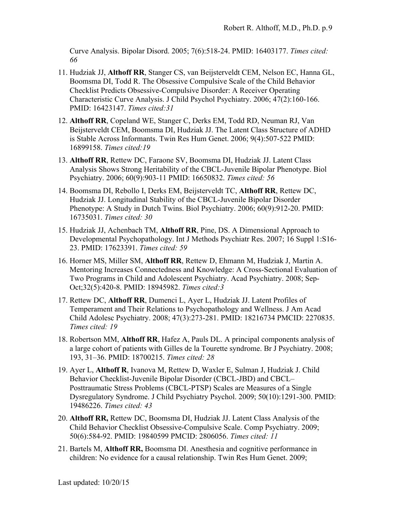Curve Analysis. Bipolar Disord. 2005; 7(6):518-24. PMID: 16403177. *Times cited: 66*

- 11. Hudziak JJ, **Althoff RR**, Stanger CS, van Beijsterveldt CEM, Nelson EC, Hanna GL, Boomsma DI, Todd R. The Obsessive Compulsive Scale of the Child Behavior Checklist Predicts Obsessive-Compulsive Disorder: A Receiver Operating Characteristic Curve Analysis. J Child Psychol Psychiatry. 2006; 47(2):160-166. PMID: 16423147. *Times cited:31*
- 12. **Althoff RR**, Copeland WE, Stanger C, Derks EM, Todd RD, Neuman RJ, Van Beijsterveldt CEM, Boomsma DI, Hudziak JJ. The Latent Class Structure of ADHD is Stable Across Informants. Twin Res Hum Genet. 2006; 9(4):507-522 PMID: 16899158. *Times cited:19*
- 13. **Althoff RR**, Rettew DC, Faraone SV, Boomsma DI, Hudziak JJ. Latent Class Analysis Shows Strong Heritability of the CBCL-Juvenile Bipolar Phenotype. Biol Psychiatry. 2006; 60(9):903-11 PMID: 16650832. *Times cited: 56*
- 14. Boomsma DI, Rebollo I, Derks EM, Beijsterveldt TC, **Althoff RR**, Rettew DC, Hudziak JJ. Longitudinal Stability of the CBCL-Juvenile Bipolar Disorder Phenotype: A Study in Dutch Twins. Biol Psychiatry. 2006; 60(9):912-20. PMID: 16735031. *Times cited: 30*
- 15. Hudziak JJ, Achenbach TM, **Althoff RR**, Pine, DS. A Dimensional Approach to Developmental Psychopathology. Int J Methods Psychiatr Res. 2007; 16 Suppl 1:S16- 23. PMID: 17623391. *Times cited: 59*
- 16. Horner MS, Miller SM, **Althoff RR**, Rettew D, Ehmann M, Hudziak J, Martin A. Mentoring Increases Connectedness and Knowledge: A Cross-Sectional Evaluation of Two Programs in Child and Adolescent Psychiatry. Acad Psychiatry. 2008; Sep-Oct;32(5):420-8. PMID: 18945982. *Times cited:3*
- 17. Rettew DC, **Althoff RR**, Dumenci L, Ayer L, Hudziak JJ. Latent Profiles of Temperament and Their Relations to Psychopathology and Wellness. J Am Acad Child Adolesc Psychiatry. 2008; 47(3):273-281. PMID: 18216734 PMCID: 2270835. *Times cited: 19*
- 18. Robertson MM, **Althoff RR**, Hafez A, Pauls DL. A principal components analysis of a large cohort of patients with Gilles de la Tourette syndrome. Br J Psychiatry. 2008; 193, 31–36. PMID: 18700215. *Times cited: 28*
- 19. Ayer L, **Althoff R**, Ivanova M, Rettew D, Waxler E, Sulman J, Hudziak J. Child Behavior Checklist-Juvenile Bipolar Disorder (CBCL-JBD) and CBCL– Posttraumatic Stress Problems (CBCL-PTSP) Scales are Measures of a Single Dysregulatory Syndrome. J Child Psychiatry Psychol. 2009; 50(10):1291-300. PMID: 19486226. *Times cited: 43*
- 20. **Althoff RR,** Rettew DC, Boomsma DI, Hudziak JJ. Latent Class Analysis of the Child Behavior Checklist Obsessive-Compulsive Scale. Comp Psychiatry. 2009; 50(6):584-92. PMID: 19840599 PMCID: 2806056. *Times cited: 11*
- 21. Bartels M, **Althoff RR,** Boomsma DI. Anesthesia and cognitive performance in children: No evidence for a causal relationship. Twin Res Hum Genet. 2009;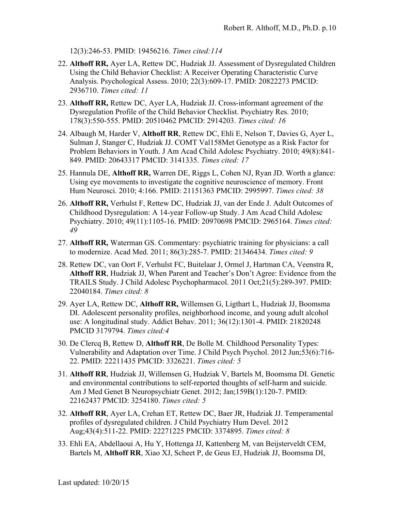12(3):246-53. PMID: 19456216. *Times cited:114*

- 22. **Althoff RR,** Ayer LA, Rettew DC, Hudziak JJ. Assessment of Dysregulated Children Using the Child Behavior Checklist: A Receiver Operating Characteristic Curve Analysis. Psychological Assess. 2010; 22(3):609-17. PMID: 20822273 PMCID: 2936710. *Times cited: 11*
- 23. **Althoff RR,** Rettew DC, Ayer LA, Hudziak JJ. Cross-informant agreement of the Dysregulation Profile of the Child Behavior Checklist. Psychiatry Res. 2010; 178(3):550-555. PMID: 20510462 PMCID: 2914203. *Times cited: 16*
- 24. Albaugh M, Harder V, **Althoff RR**, Rettew DC, Ehli E, Nelson T, Davies G, Ayer L, Sulman J, Stanger C, Hudziak JJ. COMT Val158Met Genotype as a Risk Factor for Problem Behaviors in Youth. J Am Acad Child Adolesc Psychiatry. 2010; 49(8):841- 849. PMID: 20643317 PMCID: 3141335. *Times cited: 17*
- 25. Hannula DE, **Althoff RR,** Warren DE, Riggs L, Cohen NJ, Ryan JD. Worth a glance: Using eye movements to investigate the cognitive neuroscience of memory. Front Hum Neurosci. 2010; 4:166. PMID: 21151363 PMCID: 2995997. *Times cited: 38*
- 26. **Althoff RR,** Verhulst F, Rettew DC, Hudziak JJ, van der Ende J. Adult Outcomes of Childhood Dysregulation: A 14-year Follow-up Study. J Am Acad Child Adolesc Psychiatry. 2010; 49(11):1105-16. PMID: 20970698 PMCID: 2965164. *Times cited: 49*
- 27. **Althoff RR,** Waterman GS. Commentary: psychiatric training for physicians: a call to modernize. Acad Med. 2011; 86(3):285-7. PMID: 21346434. *Times cited: 9*
- 28. Rettew DC, van Oort F, Verhulst FC, Buitelaar J, Ormel J, Hartman CA, Veenstra R, **Althoff RR**, Hudziak JJ, When Parent and Teacher's Don't Agree: Evidence from the TRAILS Study. J Child Adolesc Psychopharmacol. 2011 Oct;21(5):289-397. PMID: 22040184. *Times cited: 8*
- 29. Ayer LA, Rettew DC, **Althoff RR,** Willemsen G, Ligthart L, Hudziak JJ, Boomsma DI. Adolescent personality profiles, neighborhood income, and young adult alcohol use: A longitudinal study. Addict Behav. 2011; 36(12):1301-4. PMID: 21820248 PMCID 3179794. *Times cited:4*
- 30. De Clercq B, Rettew D, **Althoff RR**, De Bolle M. Childhood Personality Types: Vulnerability and Adaptation over Time. J Child Psych Psychol. 2012 Jun;53(6):716- 22. PMID: 22211435 PMCID: 3326221. *Times cited: 5*
- 31. **Althoff RR**, Hudziak JJ, Willemsen G, Hudziak V, Bartels M, Boomsma DI. Genetic and environmental contributions to self-reported thoughts of self-harm and suicide. Am J Med Genet B Neuropsychiatr Genet. 2012; Jan;159B(1):120-7. PMID: 22162437 PMCID: 3254180. *Times cited: 5*
- 32. **Althoff RR**, Ayer LA, Crehan ET, Rettew DC, Baer JR, Hudziak JJ. Temperamental profiles of dysregulated children. J Child Psychiatry Hum Devel. 2012 Aug;43(4):511-22. PMID: 22271225 PMCID: 3374895. *Times cited: 8*
- 33. Ehli EA, Abdellaoui A, Hu Y, Hottenga JJ, Kattenberg M, van Beijsterveldt CEM, Bartels M, **Althoff RR**, Xiao XJ, Scheet P, de Geus EJ, Hudziak JJ, Boomsma DI,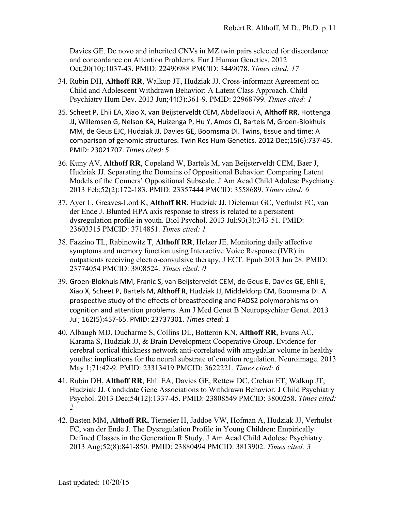Davies GE. De novo and inherited CNVs in MZ twin pairs selected for discordance and concordance on Attention Problems. Eur J Human Genetics. 2012 Oct;20(10):1037-43. PMID: 22490988 PMCID: 3449078. *Times cited: 17*

- 34. Rubin DH, **Althoff RR**, Walkup JT, Hudziak JJ. Cross-informant Agreement on Child and Adolescent Withdrawn Behavior: A Latent Class Approach. Child Psychiatry Hum Dev. 2013 Jun;44(3):361-9. PMID: 22968799. *Times cited: 1*
- 35. Scheet P, Ehli EA, Xiao X, van Beijsterveldt CEM, Abdellaoui A, Althoff RR, Hottenga JJ, Willemsen G, Nelson KA, Huizenga P, Hu Y, Amos CI, Bartels M, Groen-Blokhuis MM, de Geus EJC, Hudziak JJ, Davies GE, Boomsma DI. Twins, tissue and time: A comparison of genomic structures. Twin Res Hum Genetics. 2012 Dec;15(6):737-45. PMID: 23021707. *Times cited: 5*
- 36. Kuny AV, **Althoff RR**, Copeland W, Bartels M, van Beijsterveldt CEM, Baer J, Hudziak JJ. Separating the Domains of Oppositional Behavior: Comparing Latent Models of the Conners' Oppositional Subscale. J Am Acad Child Adolesc Psychiatry. 2013 Feb;52(2):172-183. PMID: 23357444 PMCID: 3558689. *Times cited: 6*
- 37. Ayer L, Greaves-Lord K, **Althoff RR**, Hudziak JJ, Dieleman GC, Verhulst FC, van der Ende J. Blunted HPA axis response to stress is related to a persistent dysregulation profile in youth. Biol Psychol. 2013 Jul;93(3):343-51. PMID: 23603315 PMCID: 3714851. *Times cited: 1*
- 38. Fazzino TL, Rabinowitz T, **Althoff RR**, Helzer JE. Monitoring daily affective symptoms and memory function using Interactive Voice Response (IVR) in outpatients receiving electro-convulsive therapy. J ECT. Epub 2013 Jun 28. PMID: 23774054 PMCID: 3808524. *Times cited: 0*
- 39. Groen-Blokhuis MM, Franic S, van Beijsterveldt CEM, de Geus E, Davies GE, Ehli E, Xiao X, Scheet P, Bartels M, Althoff R, Hudziak JJ, Middeldorp CM, Boomsma DI. A prospective study of the effects of breastfeeding and FADS2 polymorphisms on cognition and attention problems. Am J Med Genet B Neuropsychiatr Genet. 2013 Jul; 162(5):457-65. PMID: 23737301. *Times cited: 1*
- 40. Albaugh MD, Ducharme S, Collins DL, Botteron KN, **Althoff RR**, Evans AC, Karama S, Hudziak JJ, & Brain Development Cooperative Group. Evidence for cerebral cortical thickness network anti-correlated with amygdalar volume in healthy youths: implications for the neural substrate of emotion regulation. Neuroimage. 2013 May 1;71:42-9. PMID: 23313419 PMCID: 3622221. *Times cited: 6*
- 41. Rubin DH, **Althoff RR**, Ehli EA, Davies GE, Rettew DC, Crehan ET, Walkup JT, Hudziak JJ. Candidate Gene Associations to Withdrawn Behavior. J Child Psychiatry Psychol. 2013 Dec;54(12):1337-45. PMID: 23808549 PMCID: 3800258. *Times cited: 2*
- 42. Basten MM, **Althoff RR,** Tiemeier H, Jaddoe VW, Hofman A, Hudziak JJ, Verhulst FC, van der Ende J. The Dysregulation Profile in Young Children: Empirically Defined Classes in the Generation R Study. J Am Acad Child Adolesc Psychiatry. 2013 Aug;52(8):841-850. PMID: 23880494 PMCID: 3813902. *Times cited: 3*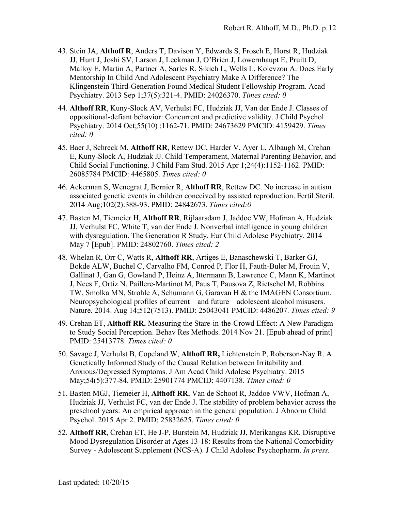- 43. Stein JA, **Althoff R**, Anders T, Davison Y, Edwards S, Frosch E, Horst R, Hudziak JJ, Hunt J, Joshi SV, Larson J, Leckman J, O'Brien J, Lowernhaupt E, Pruitt D, Malloy E, Martin A, Partner A, Sarles R, Sikich L, Wells L, Kolevzon A. Does Early Mentorship In Child And Adolescent Psychiatry Make A Difference? The Klingenstein Third-Generation Found Medical Student Fellowship Program. Acad Psychiatry. 2013 Sep 1;37(5):321-4. PMID: 24026370. *Times cited: 0*
- 44. **Althoff RR**, Kuny-Slock AV, Verhulst FC, Hudziak JJ, Van der Ende J. Classes of oppositional-defiant behavior: Concurrent and predictive validity. J Child Psychol Psychiatry. 2014 Oct;55(10) :1162-71. PMID: 24673629 PMCID: 4159429. *Times cited: 0*
- 45. Baer J, Schreck M, **Althoff RR**, Rettew DC, Harder V, Ayer L, Albaugh M, Crehan E, Kuny-Slock A, Hudziak JJ. Child Temperament, Maternal Parenting Behavior, and Child Social Functioning. J Child Fam Stud. 2015 Apr 1;24(4):1152-1162. PMID: 26085784 PMCID: 4465805. *Times cited: 0*
- 46. Ackerman S, Wenegrat J, Bernier R, **Althoff RR**, Rettew DC. No increase in autism associated genetic events in children conceived by assisted reproduction. Fertil Steril. 2014 Aug;102(2):388-93. PMID: 24842673. *Times cited:0*
- 47. Basten M, Tiemeier H, **Althoff RR**, Rijlaarsdam J, Jaddoe VW, Hofman A, Hudziak JJ, Verhulst FC, White T, van der Ende J. Nonverbal intelligence in young children with dysregulation. The Generation R Study. Eur Child Adolesc Psychiatry. 2014 May 7 [Epub]. PMID: 24802760. *Times cited: 2*
- 48. Whelan R, Orr C, Watts R, **Althoff RR**, Artiges E, Banaschewski T, Barker GJ, Bokde ALW, Buchel C, Carvalho FM, Conrod P, Flor H, Fauth-Buler M, Frouin V, Gallinat J, Gan G, Gowland P, Heinz A, Ittermann B, Lawrence C, Mann K, Martinot J, Nees F, Ortiz N, Paillere-Martinot M, Paus T, Pausova Z, Rietschel M, Robbins TW, Smolka MN, Strohle A, Schumann G, Garavan H & the IMAGEN Consortium. Neuropsychological profiles of current – and future – adolescent alcohol misusers. Nature. 2014. Aug 14;512(7513). PMID: 25043041 PMCID: 4486207. *Times cited: 9*
- 49. Crehan ET, **Althoff RR.** Measuring the Stare-in-the-Crowd Effect: A New Paradigm to Study Social Perception. Behav Res Methods. 2014 Nov 21. [Epub ahead of print] PMID: 25413778. *Times cited: 0*
- 50. Savage J, Verhulst B, Copeland W, **Althoff RR,** Lichtenstein P, Roberson-Nay R. A Genetically Informed Study of the Causal Relation between Irritability and Anxious/Depressed Symptoms. J Am Acad Child Adolesc Psychiatry. 2015 May;54(5):377-84. PMID: 25901774 PMCID: 4407138. *Times cited: 0*
- 51. Basten MGJ, Tiemeier H, **Althoff RR**, Van de Schoot R, Jaddoe VWV, Hofman A, Hudziak JJ, Verhulst FC, van der Ende J. The stability of problem behavior across the preschool years: An empirical approach in the general population. J Abnorm Child Psychol. 2015 Apr 2. PMID: 25832625. *Times cited: 0*
- 52. **Althoff RR**, Crehan ET, He J-P, Burstein M, Hudziak JJ, Merikangas KR. Disruptive Mood Dysregulation Disorder at Ages 13-18: Results from the National Comorbidity Survey - Adolescent Supplement (NCS-A). J Child Adolesc Psychopharm. *In press.*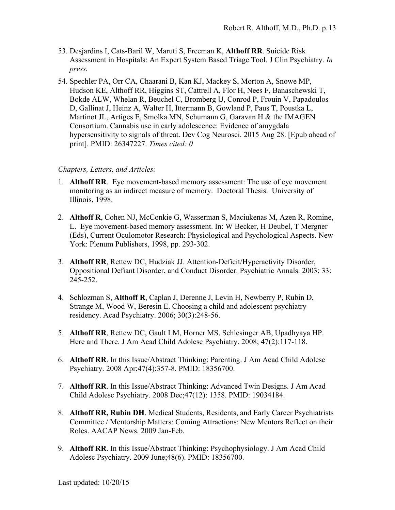- 53. Desjardins I, Cats-Baril W, Maruti S, Freeman K, **Althoff RR**. Suicide Risk Assessment in Hospitals: An Expert System Based Triage Tool. J Clin Psychiatry. *In press.*
- 54. Spechler PA, Orr CA, Chaarani B, Kan KJ, Mackey S, Morton A, Snowe MP, Hudson KE, Althoff RR, Higgins ST, Cattrell A, Flor H, Nees F, Banaschewski T, Bokde ALW, Whelan R, Beuchel C, Bromberg U, Conrod P, Frouin V, Papadoulos D, Gallinat J, Heinz A, Walter H, Ittermann B, Gowland P, Paus T, Poustka L, Martinot JL, Artiges E, Smolka MN, Schumann G, Garavan H & the IMAGEN Consortium. Cannabis use in early adolescence: Evidence of amygdala hypersensitivity to signals of threat. Dev Cog Neurosci. 2015 Aug 28. [Epub ahead of print]. PMID: 26347227. *Times cited: 0*

#### *Chapters, Letters, and Articles:*

- 1. **Althoff RR**. Eye movement-based memory assessment: The use of eye movement monitoring as an indirect measure of memory. Doctoral Thesis. University of Illinois, 1998.
- 2. **Althoff R**, Cohen NJ, McConkie G, Wasserman S, Maciukenas M, Azen R, Romine, L. Eye movement-based memory assessment. In: W Becker, H Deubel, T Mergner (Eds), Current Oculomotor Research: Physiological and Psychological Aspects. New York: Plenum Publishers, 1998, pp. 293-302.
- 3. **Althoff RR**, Rettew DC, Hudziak JJ. Attention-Deficit/Hyperactivity Disorder, Oppositional Defiant Disorder, and Conduct Disorder. Psychiatric Annals. 2003; 33: 245-252.
- 4. Schlozman S, **Althoff R**, Caplan J, Derenne J, Levin H, Newberry P, Rubin D, Strange M, Wood W, Beresin E. Choosing a child and adolescent psychiatry residency. Acad Psychiatry. 2006; 30(3):248-56.
- 5. **Althoff RR**, Rettew DC, Gault LM, Horner MS, Schlesinger AB, Upadhyaya HP. Here and There. J Am Acad Child Adolesc Psychiatry. 2008; 47(2):117-118.
- 6. **Althoff RR**. In this Issue/Abstract Thinking: Parenting. J Am Acad Child Adolesc Psychiatry. 2008 Apr;47(4):357-8. PMID: 18356700.
- 7. **Althoff RR**. In this Issue/Abstract Thinking: Advanced Twin Designs. J Am Acad Child Adolesc Psychiatry. 2008 Dec;47(12): 1358. PMID: 19034184.
- 8. **Althoff RR, Rubin DH**. Medical Students, Residents, and Early Career Psychiatrists Committee / Mentorship Matters: Coming Attractions: New Mentors Reflect on their Roles. AACAP News. 2009 Jan-Feb.
- 9. **Althoff RR**. In this Issue/Abstract Thinking: Psychophysiology. J Am Acad Child Adolesc Psychiatry. 2009 June;48(6). PMID: 18356700.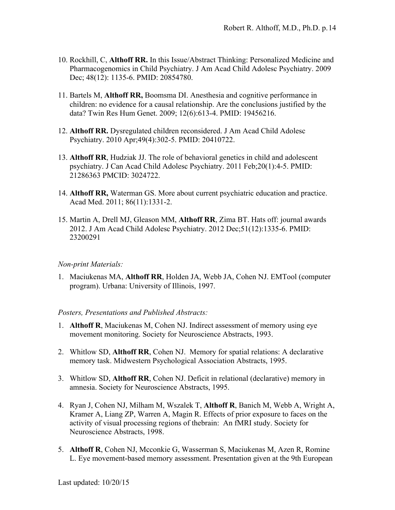- 10. Rockhill, C, **Althoff RR.** In this Issue/Abstract Thinking: Personalized Medicine and Pharmacogenomics in Child Psychiatry. J Am Acad Child Adolesc Psychiatry. 2009 Dec; 48(12): 1135-6. PMID: 20854780.
- 11. Bartels M, **Althoff RR,** Boomsma DI. Anesthesia and cognitive performance in children: no evidence for a causal relationship. Are the conclusions justified by the data? Twin Res Hum Genet. 2009; 12(6):613-4. PMID: 19456216.
- 12. **Althoff RR.** Dysregulated children reconsidered. J Am Acad Child Adolesc Psychiatry. 2010 Apr;49(4):302-5. PMID: 20410722.
- 13. **Althoff RR**, Hudziak JJ. The role of behavioral genetics in child and adolescent psychiatry. J Can Acad Child Adolesc Psychiatry. 2011 Feb;20(1):4-5. PMID: 21286363 PMCID: 3024722.
- 14. **Althoff RR,** Waterman GS. More about current psychiatric education and practice. Acad Med. 2011; 86(11):1331-2.
- 15. Martin A, Drell MJ, Gleason MM, **Althoff RR**, Zima BT. Hats off: journal awards 2012. J Am Acad Child Adolesc Psychiatry. 2012 Dec;51(12):1335-6. PMID: 23200291

#### *Non-print Materials:*

1. Maciukenas MA, **Althoff RR**, Holden JA, Webb JA, Cohen NJ. EMTool (computer program). Urbana: University of Illinois, 1997.

#### *Posters, Presentations and Published Abstracts:*

- 1. **Althoff R**, Maciukenas M, Cohen NJ. Indirect assessment of memory using eye movement monitoring. Society for Neuroscience Abstracts, 1993.
- 2. Whitlow SD, **Althoff RR**, Cohen NJ. Memory for spatial relations: A declarative memory task. Midwestern Psychological Association Abstracts, 1995.
- 3. Whitlow SD, **Althoff RR**, Cohen NJ. Deficit in relational (declarative) memory in amnesia. Society for Neuroscience Abstracts, 1995.
- 4. Ryan J, Cohen NJ, Milham M, Wszalek T, **Althoff R**, Banich M, Webb A, Wright A, Kramer A, Liang ZP, Warren A, Magin R. Effects of prior exposure to faces on the activity of visual processing regions of thebrain: An fMRI study. Society for Neuroscience Abstracts, 1998.
- 5. **Althoff R**, Cohen NJ, Mcconkie G, Wasserman S, Maciukenas M, Azen R, Romine L. Eye movement-based memory assessment. Presentation given at the 9th European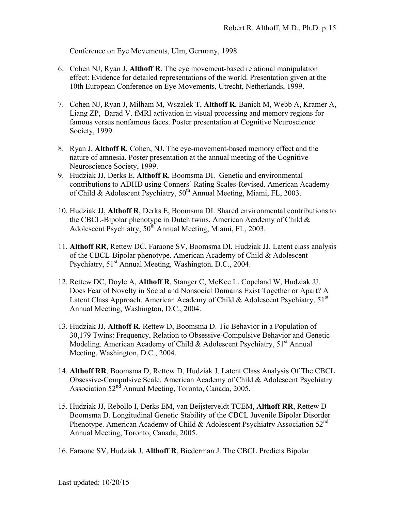Conference on Eye Movements, Ulm, Germany, 1998.

- 6. Cohen NJ, Ryan J, **Althoff R**. The eye movement-based relational manipulation effect: Evidence for detailed representations of the world. Presentation given at the 10th European Conference on Eye Movements, Utrecht, Netherlands, 1999.
- 7. Cohen NJ, Ryan J, Milham M, Wszalek T, **Althoff R**, Banich M, Webb A, Kramer A, Liang ZP, Barad V. fMRI activation in visual processing and memory regions for famous versus nonfamous faces. Poster presentation at Cognitive Neuroscience Society, 1999.
- 8. Ryan J, **Althoff R**, Cohen, NJ. The eye-movement-based memory effect and the nature of amnesia. Poster presentation at the annual meeting of the Cognitive Neuroscience Society, 1999.
- 9. Hudziak JJ, Derks E, **Althoff R**, Boomsma DI. Genetic and environmental contributions to ADHD using Conners' Rating Scales-Revised. American Academy of Child & Adolescent Psychiatry,  $50<sup>th</sup>$  Annual Meeting, Miami, FL, 2003.
- 10. Hudziak JJ, **Althoff R**, Derks E, Boomsma DI. Shared environmental contributions to the CBCL-Bipolar phenotype in Dutch twins. American Academy of Child  $\&$ Adolescent Psychiatry, 50<sup>th</sup> Annual Meeting, Miami, FL, 2003.
- 11. **Althoff RR**, Rettew DC, Faraone SV, Boomsma DI, Hudziak JJ. Latent class analysis of the CBCL-Bipolar phenotype. American Academy of Child & Adolescent Psychiatry,  $51<sup>st</sup>$  Annual Meeting, Washington, D.C., 2004.
- 12. Rettew DC, Doyle A, **Althoff R**, Stanger C, McKee L, Copeland W, Hudziak JJ. Does Fear of Novelty in Social and Nonsocial Domains Exist Together or Apart? A Latent Class Approach. American Academy of Child & Adolescent Psychiatry,  $51<sup>st</sup>$ Annual Meeting, Washington, D.C., 2004.
- 13. Hudziak JJ, **Althoff R**, Rettew D, Boomsma D. Tic Behavior in a Population of 30,179 Twins: Frequency, Relation to Obsessive-Compulsive Behavior and Genetic Modeling. American Academy of Child & Adolescent Psychiatry,  $51<sup>st</sup>$  Annual Meeting, Washington, D.C., 2004.
- 14. **Althoff RR**, Boomsma D, Rettew D, Hudziak J. Latent Class Analysis Of The CBCL Obsessive-Compulsive Scale. American Academy of Child & Adolescent Psychiatry Association 52nd Annual Meeting, Toronto, Canada, 2005.
- 15. Hudziak JJ, Rebollo I, Derks EM, van Beijsterveldt TCEM, **Althoff RR**, Rettew D Boomsma D. Longitudinal Genetic Stability of the CBCL Juvenile Bipolar Disorder Phenotype. American Academy of Child & Adolescent Psychiatry Association  $52<sup>nd</sup>$ Annual Meeting, Toronto, Canada, 2005.
- 16. Faraone SV, Hudziak J, **Althoff R**, Biederman J. The CBCL Predicts Bipolar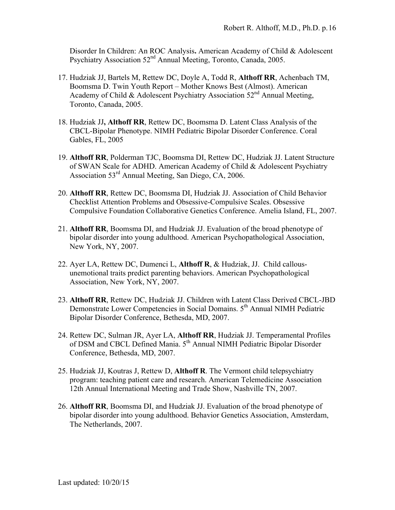Disorder In Children: An ROC Analysis**.** American Academy of Child & Adolescent Psychiatry Association 52<sup>nd</sup> Annual Meeting, Toronto, Canada, 2005.

- 17. Hudziak JJ, Bartels M, Rettew DC, Doyle A, Todd R, **Althoff RR**, Achenbach TM, Boomsma D. Twin Youth Report – Mother Knows Best (Almost). American Academy of Child & Adolescent Psychiatry Association  $52<sup>nd</sup>$  Annual Meeting, Toronto, Canada, 2005.
- 18. Hudziak JJ**, Althoff RR**, Rettew DC, Boomsma D. Latent Class Analysis of the CBCL-Bipolar Phenotype. NIMH Pediatric Bipolar Disorder Conference. Coral Gables, FL, 2005
- 19. **Althoff RR**, Polderman TJC, Boomsma DI, Rettew DC, Hudziak JJ. Latent Structure of SWAN Scale for ADHD. American Academy of Child & Adolescent Psychiatry Association 53rd Annual Meeting, San Diego, CA, 2006.
- 20. **Althoff RR**, Rettew DC, Boomsma DI, Hudziak JJ. Association of Child Behavior Checklist Attention Problems and Obsessive-Compulsive Scales. Obsessive Compulsive Foundation Collaborative Genetics Conference. Amelia Island, FL, 2007.
- 21. **Althoff RR**, Boomsma DI, and Hudziak JJ. Evaluation of the broad phenotype of bipolar disorder into young adulthood. American Psychopathological Association, New York, NY, 2007.
- 22. Ayer LA, Rettew DC, Dumenci L, **Althoff R**, & Hudziak, JJ. Child callousunemotional traits predict parenting behaviors. American Psychopathological Association, New York, NY, 2007.
- 23. **Althoff RR**, Rettew DC, Hudziak JJ. Children with Latent Class Derived CBCL-JBD Demonstrate Lower Competencies in Social Domains. 5<sup>th</sup> Annual NIMH Pediatric Bipolar Disorder Conference, Bethesda, MD, 2007.
- 24. Rettew DC, Sulman JR, Ayer LA, **Althoff RR**, Hudziak JJ. Temperamental Profiles of DSM and CBCL Defined Mania. 5th Annual NIMH Pediatric Bipolar Disorder Conference, Bethesda, MD, 2007.
- 25. Hudziak JJ, Koutras J, Rettew D, **Althoff R**. The Vermont child telepsychiatry program: teaching patient care and research. American Telemedicine Association 12th Annual International Meeting and Trade Show, Nashville TN, 2007.
- 26. **Althoff RR**, Boomsma DI, and Hudziak JJ. Evaluation of the broad phenotype of bipolar disorder into young adulthood. Behavior Genetics Association, Amsterdam, The Netherlands, 2007.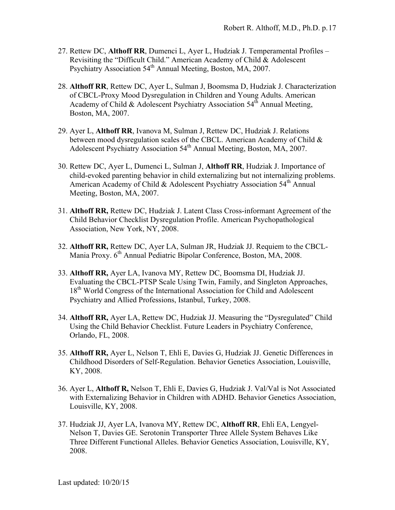- 27. Rettew DC, **Althoff RR**, Dumenci L, Ayer L, Hudziak J. Temperamental Profiles Revisiting the "Difficult Child." American Academy of Child & Adolescent Psychiatry Association 54<sup>th</sup> Annual Meeting, Boston, MA, 2007.
- 28. **Althoff RR**, Rettew DC, Ayer L, Sulman J, Boomsma D, Hudziak J. Characterization of CBCL-Proxy Mood Dysregulation in Children and Young Adults. American Academy of Child & Adolescent Psychiatry Association  $54<sup>th</sup>$  Annual Meeting, Boston, MA, 2007.
- 29. Ayer L, **Althoff RR**, Ivanova M, Sulman J, Rettew DC, Hudziak J. Relations between mood dysregulation scales of the CBCL. American Academy of Child & Adolescent Psychiatry Association 54<sup>th</sup> Annual Meeting, Boston, MA, 2007.
- 30. Rettew DC, Ayer L, Dumenci L, Sulman J, **Althoff RR**, Hudziak J. Importance of child-evoked parenting behavior in child externalizing but not internalizing problems. American Academy of Child & Adolescent Psychiatry Association 54<sup>th</sup> Annual Meeting, Boston, MA, 2007.
- 31. **Althoff RR,** Rettew DC, Hudziak J. Latent Class Cross-informant Agreement of the Child Behavior Checklist Dysregulation Profile. American Psychopathological Association, New York, NY, 2008.
- 32. **Althoff RR,** Rettew DC, Ayer LA, Sulman JR, Hudziak JJ. Requiem to the CBCL-Mania Proxy. 6<sup>th</sup> Annual Pediatric Bipolar Conference, Boston, MA, 2008.
- 33. **Althoff RR,** Ayer LA, Ivanova MY, Rettew DC, Boomsma DI, Hudziak JJ. Evaluating the CBCL-PTSP Scale Using Twin, Family, and Singleton Approaches, 18<sup>th</sup> World Congress of the International Association for Child and Adolescent Psychiatry and Allied Professions, Istanbul, Turkey, 2008.
- 34. **Althoff RR,** Ayer LA, Rettew DC, Hudziak JJ. Measuring the "Dysregulated" Child Using the Child Behavior Checklist. Future Leaders in Psychiatry Conference, Orlando, FL, 2008.
- 35. **Althoff RR,** Ayer L, Nelson T, Ehli E, Davies G, Hudziak JJ. Genetic Differences in Childhood Disorders of Self-Regulation. Behavior Genetics Association, Louisville, KY, 2008.
- 36. Ayer L, **Althoff R,** Nelson T, Ehli E, Davies G, Hudziak J. Val/Val is Not Associated with Externalizing Behavior in Children with ADHD. Behavior Genetics Association, Louisville, KY, 2008.
- 37. Hudziak JJ, Ayer LA, Ivanova MY, Rettew DC, **Althoff RR**, Ehli EA, Lengyel-Nelson T, Davies GE. Serotonin Transporter Three Allele System Behaves Like Three Different Functional Alleles. Behavior Genetics Association, Louisville, KY, 2008.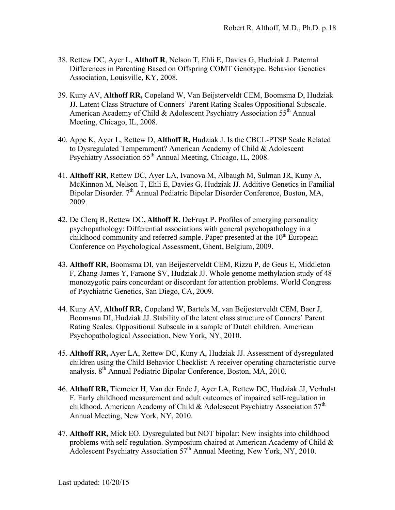- 38. Rettew DC, Ayer L, **Althoff R**, Nelson T, Ehli E, Davies G, Hudziak J. Paternal Differences in Parenting Based on Offspring COMT Genotype. Behavior Genetics Association, Louisville, KY, 2008.
- 39. Kuny AV, **Althoff RR,** Copeland W, Van Beijsterveldt CEM, Boomsma D, Hudziak JJ. Latent Class Structure of Conners' Parent Rating Scales Oppositional Subscale. American Academy of Child & Adolescent Psychiatry Association  $55<sup>th</sup>$  Annual Meeting, Chicago, IL, 2008.
- 40. Appe K, Ayer L, Rettew D, **Althoff R,** Hudziak J. Is the CBCL-PTSP Scale Related to Dysregulated Temperament? American Academy of Child & Adolescent Psychiatry Association 55<sup>th</sup> Annual Meeting, Chicago, IL, 2008.
- 41. **Althoff RR**, Rettew DC, Ayer LA, Ivanova M, Albaugh M, Sulman JR, Kuny A, McKinnon M, Nelson T, Ehli E, Davies G, Hudziak JJ. Additive Genetics in Familial Bipolar Disorder. 7<sup>th</sup> Annual Pediatric Bipolar Disorder Conference, Boston, MA, 2009.
- 42. De Clerq B, Rettew DC**, Althoff R**, DeFruyt P. Profiles of emerging personality psychopathology: Differential associations with general psychopathology in a childhood community and referred sample. Paper presented at the  $10<sup>th</sup>$  European Conference on Psychological Assessment, Ghent, Belgium, 2009.
- 43. **Althoff RR**, Boomsma DI, van Beijesterveldt CEM, Rizzu P, de Geus E, Middleton F, Zhang-James Y, Faraone SV, Hudziak JJ. Whole genome methylation study of 48 monozygotic pairs concordant or discordant for attention problems. World Congress of Psychiatric Genetics, San Diego, CA, 2009.
- 44. Kuny AV, **Althoff RR,** Copeland W, Bartels M, van Beijesterveldt CEM, Baer J, Boomsma DI, Hudziak JJ. Stability of the latent class structure of Conners' Parent Rating Scales: Oppositional Subscale in a sample of Dutch children. American Psychopathological Association, New York, NY, 2010.
- 45. **Althoff RR,** Ayer LA, Rettew DC, Kuny A, Hudziak JJ. Assessment of dysregulated children using the Child Behavior Checklist: A receiver operating characteristic curve analysis. 8th Annual Pediatric Bipolar Conference, Boston, MA, 2010.
- 46. **Althoff RR,** Tiemeier H, Van der Ende J, Ayer LA, Rettew DC, Hudziak JJ, Verhulst F. Early childhood measurement and adult outcomes of impaired self-regulation in childhood. American Academy of Child & Adolescent Psychiatry Association  $57<sup>th</sup>$ Annual Meeting, New York, NY, 2010.
- 47. **Althoff RR,** Mick EO. Dysregulated but NOT bipolar: New insights into childhood problems with self-regulation. Symposium chaired at American Academy of Child & Adolescent Psychiatry Association  $57<sup>th</sup>$  Annual Meeting, New York, NY, 2010.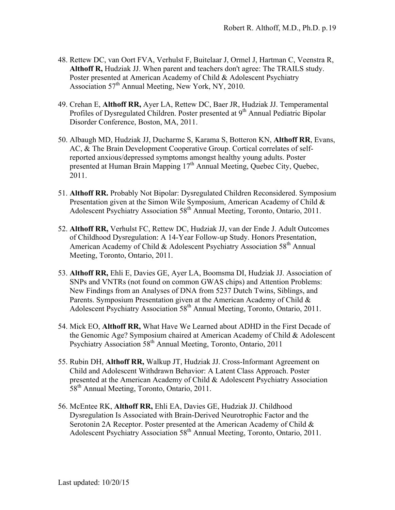- 48. Rettew DC, van Oort FVA, Verhulst F, Buitelaar J, Ormel J, Hartman C, Veenstra R, **Althoff R,** Hudziak JJ. When parent and teachers don't agree: The TRAILS study. Poster presented at American Academy of Child & Adolescent Psychiatry Association  $57<sup>th</sup>$  Annual Meeting, New York, NY, 2010.
- 49. Crehan E, **Althoff RR,** Ayer LA, Rettew DC, Baer JR, Hudziak JJ. Temperamental Profiles of Dysregulated Children. Poster presented at 9<sup>th</sup> Annual Pediatric Bipolar Disorder Conference, Boston, MA, 2011.
- 50. Albaugh MD, Hudziak JJ, Ducharme S, Karama S, Botteron KN, **Althoff RR**, Evans, AC, & The Brain Development Cooperative Group. Cortical correlates of selfreported anxious/depressed symptoms amongst healthy young adults. Poster presented at Human Brain Mapping 17<sup>th</sup> Annual Meeting, Quebec City, Quebec, 2011.
- 51. **Althoff RR.** Probably Not Bipolar: Dysregulated Children Reconsidered. Symposium Presentation given at the Simon Wile Symposium, American Academy of Child & Adolescent Psychiatry Association 58<sup>th</sup> Annual Meeting, Toronto, Ontario, 2011.
- 52. **Althoff RR,** Verhulst FC, Rettew DC, Hudziak JJ, van der Ende J. Adult Outcomes of Childhood Dysregulation: A 14-Year Follow-up Study. Honors Presentation, American Academy of Child & Adolescent Psychiatry Association  $58<sup>th</sup>$  Annual Meeting, Toronto, Ontario, 2011.
- 53. **Althoff RR,** Ehli E, Davies GE, Ayer LA, Boomsma DI, Hudziak JJ. Association of SNPs and VNTRs (not found on common GWAS chips) and Attention Problems: New Findings from an Analyses of DNA from 5237 Dutch Twins, Siblings, and Parents. Symposium Presentation given at the American Academy of Child & Adolescent Psychiatry Association 58<sup>th</sup> Annual Meeting, Toronto, Ontario, 2011.
- 54. Mick EO, **Althoff RR,** What Have We Learned about ADHD in the First Decade of the Genomic Age? Symposium chaired at American Academy of Child & Adolescent Psychiatry Association 58th Annual Meeting, Toronto, Ontario, 2011
- 55. Rubin DH, **Althoff RR,** Walkup JT, Hudziak JJ. Cross-Informant Agreement on Child and Adolescent Withdrawn Behavior: A Latent Class Approach. Poster presented at the American Academy of Child & Adolescent Psychiatry Association 58<sup>th</sup> Annual Meeting, Toronto, Ontario, 2011.
- 56. McEntee RK, **Althoff RR,** Ehli EA, Davies GE, Hudziak JJ. Childhood Dysregulation Is Associated with Brain-Derived Neurotrophic Factor and the Serotonin 2A Receptor. Poster presented at the American Academy of Child & Adolescent Psychiatry Association 58<sup>th</sup> Annual Meeting, Toronto, Ontario, 2011.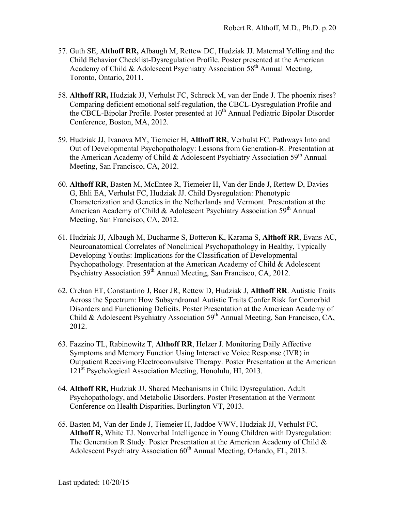- 57. Guth SE, **Althoff RR,** Albaugh M, Rettew DC, Hudziak JJ. Maternal Yelling and the Child Behavior Checklist-Dysregulation Profile. Poster presented at the American Academy of Child & Adolescent Psychiatry Association 58<sup>th</sup> Annual Meeting, Toronto, Ontario, 2011.
- 58. **Althoff RR,** Hudziak JJ, Verhulst FC, Schreck M, van der Ende J. The phoenix rises? Comparing deficient emotional self-regulation, the CBCL-Dysregulation Profile and the CBCL-Bipolar Profile. Poster presented at  $10^{th}$  Annual Pediatric Bipolar Disorder Conference, Boston, MA, 2012.
- 59. Hudziak JJ, Ivanova MY, Tiemeier H, **Althoff RR**, Verhulst FC. Pathways Into and Out of Developmental Psychopathology: Lessons from Generation-R. Presentation at the American Academy of Child & Adolescent Psychiatry Association  $59<sup>th</sup>$  Annual Meeting, San Francisco, CA, 2012.
- 60. **Althoff RR**, Basten M, McEntee R, Tiemeier H, Van der Ende J, Rettew D, Davies G, Ehli EA, Verhulst FC, Hudziak JJ. Child Dysregulation: Phenotypic Characterization and Genetics in the Netherlands and Vermont. Presentation at the American Academy of Child & Adolescent Psychiatry Association  $59<sup>th</sup>$  Annual Meeting, San Francisco, CA, 2012.
- 61. Hudziak JJ, Albaugh M, Ducharme S, Botteron K, Karama S, **Althoff RR**, Evans AC, Neuroanatomical Correlates of Nonclinical Psychopathology in Healthy, Typically Developing Youths: Implications for the Classification of Developmental Psychopathology. Presentation at the American Academy of Child & Adolescent Psychiatry Association 59<sup>th</sup> Annual Meeting, San Francisco, CA, 2012.
- 62. Crehan ET, Constantino J, Baer JR, Rettew D, Hudziak J, **Althoff RR**. Autistic Traits Across the Spectrum: How Subsyndromal Autistic Traits Confer Risk for Comorbid Disorders and Functioning Deficits. Poster Presentation at the American Academy of Child & Adolescent Psychiatry Association  $59<sup>th</sup>$  Annual Meeting, San Francisco, CA, 2012.
- 63. Fazzino TL, Rabinowitz T, **Althoff RR**, Helzer J. Monitoring Daily Affective Symptoms and Memory Function Using Interactive Voice Response (IVR) in Outpatient Receiving Electroconvulsive Therapy. Poster Presentation at the American 121st Psychological Association Meeting, Honolulu, HI, 2013.
- 64. **Althoff RR,** Hudziak JJ. Shared Mechanisms in Child Dysregulation, Adult Psychopathology, and Metabolic Disorders. Poster Presentation at the Vermont Conference on Health Disparities, Burlington VT, 2013.
- 65. Basten M, Van der Ende J, Tiemeier H, Jaddoe VWV, Hudziak JJ, Verhulst FC, **Althoff R,** White TJ. Nonverbal Intelligence in Young Children with Dysregulation: The Generation R Study. Poster Presentation at the American Academy of Child & Adolescent Psychiatry Association  $60<sup>th</sup>$  Annual Meeting, Orlando, FL, 2013.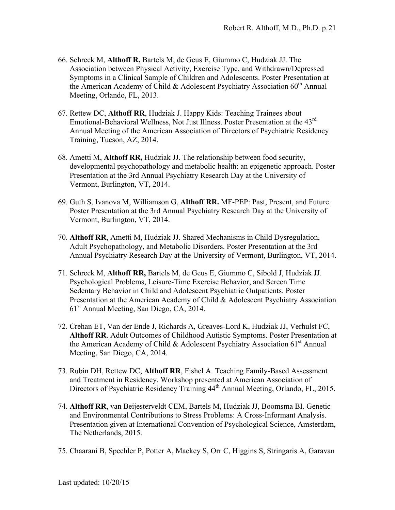- 66. Schreck M, **Althoff R,** Bartels M, de Geus E, Giummo C, Hudziak JJ. The Association between Physical Activity, Exercise Type, and Withdrawn/Depressed Symptoms in a Clinical Sample of Children and Adolescents. Poster Presentation at the American Academy of Child  $&$  Adolescent Psychiatry Association 60<sup>th</sup> Annual Meeting, Orlando, FL, 2013.
- 67. Rettew DC, **Althoff RR**, Hudziak J. Happy Kids: Teaching Trainees about Emotional-Behavioral Wellness, Not Just Illness. Poster Presentation at the 43rd Annual Meeting of the American Association of Directors of Psychiatric Residency Training, Tucson, AZ, 2014.
- 68. Ametti M, **Althoff RR,** Hudziak JJ. The relationship between food security, developmental psychopathology and metabolic health: an epigenetic approach. Poster Presentation at the 3rd Annual Psychiatry Research Day at the University of Vermont, Burlington, VT, 2014.
- 69. Guth S, Ivanova M, Williamson G, **Althoff RR.** MF-PEP: Past, Present, and Future. Poster Presentation at the 3rd Annual Psychiatry Research Day at the University of Vermont, Burlington, VT, 2014.
- 70. **Althoff RR**, Ametti M, Hudziak JJ. Shared Mechanisms in Child Dysregulation, Adult Psychopathology, and Metabolic Disorders. Poster Presentation at the 3rd Annual Psychiatry Research Day at the University of Vermont, Burlington, VT, 2014.
- 71. Schreck M, **Althoff RR,** Bartels M, de Geus E, Giummo C, Sibold J, Hudziak JJ. Psychological Problems, Leisure-Time Exercise Behavior, and Screen Time Sedentary Behavior in Child and Adolescent Psychiatric Outpatients. Poster Presentation at the American Academy of Child & Adolescent Psychiatry Association 61st Annual Meeting, San Diego, CA, 2014.
- 72. Crehan ET, Van der Ende J, Richards A, Greaves-Lord K, Hudziak JJ, Verhulst FC, **Althoff RR**. Adult Outcomes of Childhood Autistic Symptoms. Poster Presentation at the American Academy of Child & Adolescent Psychiatry Association  $61<sup>st</sup>$  Annual Meeting, San Diego, CA, 2014.
- 73. Rubin DH, Rettew DC, **Althoff RR**, Fishel A. Teaching Family-Based Assessment and Treatment in Residency. Workshop presented at American Association of Directors of Psychiatric Residency Training  $44<sup>th</sup>$  Annual Meeting, Orlando, FL, 2015.
- 74. **Althoff RR**, van Beijesterveldt CEM, Bartels M, Hudziak JJ, Boomsma BI. Genetic and Environmental Contributions to Stress Problems: A Cross-Informant Analysis. Presentation given at International Convention of Psychological Science, Amsterdam, The Netherlands, 2015.
- 75. Chaarani B, Spechler P, Potter A, Mackey S, Orr C, Higgins S, Stringaris A, Garavan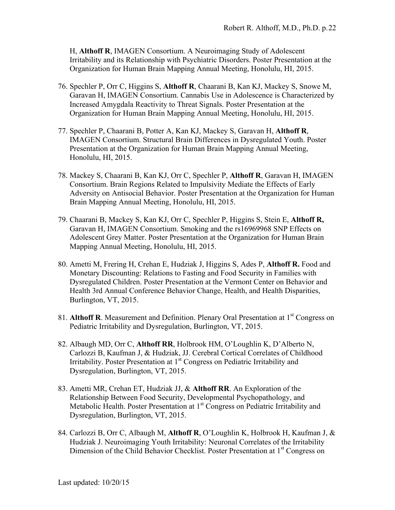H, **Althoff R**, IMAGEN Consortium. A Neuroimaging Study of Adolescent Irritability and its Relationship with Psychiatric Disorders. Poster Presentation at the Organization for Human Brain Mapping Annual Meeting, Honolulu, HI, 2015.

- 76. Spechler P, Orr C, Higgins S, **Althoff R**, Chaarani B, Kan KJ, Mackey S, Snowe M, Garavan H, IMAGEN Consortium. Cannabis Use in Adolescence is Characterized by Increased Amygdala Reactivity to Threat Signals. Poster Presentation at the Organization for Human Brain Mapping Annual Meeting, Honolulu, HI, 2015.
- 77. Spechler P, Chaarani B, Potter A, Kan KJ, Mackey S, Garavan H, **Althoff R**, IMAGEN Consortium. Structural Brain Differences in Dysregulated Youth. Poster Presentation at the Organization for Human Brain Mapping Annual Meeting, Honolulu, HI, 2015.
- 78. Mackey S, Chaarani B, Kan KJ, Orr C, Spechler P, **Althoff R**, Garavan H, IMAGEN Consortium. Brain Regions Related to Impulsivity Mediate the Effects of Early Adversity on Antisocial Behavior. Poster Presentation at the Organization for Human Brain Mapping Annual Meeting, Honolulu, HI, 2015.
- 79. Chaarani B, Mackey S, Kan KJ, Orr C, Spechler P, Higgins S, Stein E, **Althoff R,**  Garavan H, IMAGEN Consortium. Smoking and the rs16969968 SNP Effects on Adolescent Grey Matter. Poster Presentation at the Organization for Human Brain Mapping Annual Meeting, Honolulu, HI, 2015.
- 80. Ametti M, Frering H, Crehan E, Hudziak J, Higgins S, Ades P, **Althoff R.** Food and Monetary Discounting: Relations to Fasting and Food Security in Families with Dysregulated Children. Poster Presentation at the Vermont Center on Behavior and Health 3rd Annual Conference Behavior Change, Health, and Health Disparities, Burlington, VT, 2015.
- 81. **Althoff R**. Measurement and Definition. Plenary Oral Presentation at 1<sup>st</sup> Congress on Pediatric Irritability and Dysregulation, Burlington, VT, 2015.
- 82. Albaugh MD, Orr C, **Althoff RR**, Holbrook HM, O'Loughlin K, D'Alberto N, Carlozzi B, Kaufman J, & Hudziak, JJ. Cerebral Cortical Correlates of Childhood Irritability. Poster Presentation at  $1<sup>st</sup>$  Congress on Pediatric Irritability and Dysregulation, Burlington, VT, 2015.
- 83. Ametti MR, Crehan ET, Hudziak JJ, & **Althoff RR**. An Exploration of the Relationship Between Food Security, Developmental Psychopathology, and Metabolic Health. Poster Presentation at 1<sup>st</sup> Congress on Pediatric Irritability and Dysregulation, Burlington, VT, 2015.
- 84. Carlozzi B, Orr C, Albaugh M, **Althoff R**, O'Loughlin K, Holbrook H, Kaufman J, & Hudziak J. Neuroimaging Youth Irritability: Neuronal Correlates of the Irritability Dimension of the Child Behavior Checklist. Poster Presentation at 1<sup>st</sup> Congress on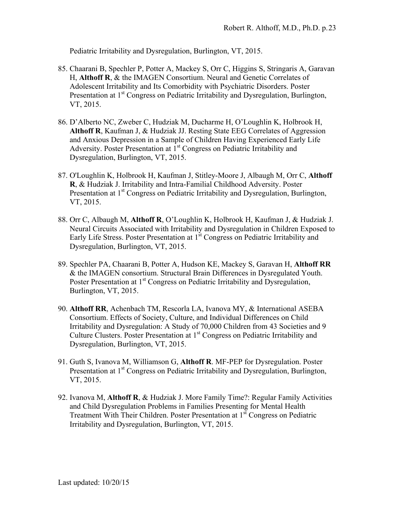Pediatric Irritability and Dysregulation, Burlington, VT, 2015.

- 85. Chaarani B, Spechler P, Potter A, Mackey S, Orr C, Higgins S, Stringaris A, Garavan H, **Althoff R**, & the IMAGEN Consortium. Neural and Genetic Correlates of Adolescent Irritability and Its Comorbidity with Psychiatric Disorders. Poster Presentation at 1<sup>st</sup> Congress on Pediatric Irritability and Dysregulation, Burlington, VT, 2015.
- 86. D'Alberto NC, Zweber C, Hudziak M, Ducharme H, O'Loughlin K, Holbrook H, **Althoff R**, Kaufman J, & Hudziak JJ. Resting State EEG Correlates of Aggression and Anxious Depression in a Sample of Children Having Experienced Early Life Adversity. Poster Presentation at  $1<sup>st</sup>$  Congress on Pediatric Irritability and Dysregulation, Burlington, VT, 2015.
- 87. O'Loughlin K, Holbrook H, Kaufman J, Stitley-Moore J, Albaugh M, Orr C, **Althoff R**, & Hudziak J. Irritability and Intra-Familial Childhood Adversity. Poster Presentation at 1<sup>st</sup> Congress on Pediatric Irritability and Dysregulation, Burlington, VT, 2015.
- 88. Orr C, Albaugh M, **Althoff R**, O'Loughlin K, Holbrook H, Kaufman J, & Hudziak J. Neural Circuits Associated with Irritability and Dysregulation in Children Exposed to Early Life Stress. Poster Presentation at  $1<sup>st</sup>$  Congress on Pediatric Irritability and Dysregulation, Burlington, VT, 2015.
- 89. Spechler PA, Chaarani B, Potter A, Hudson KE, Mackey S, Garavan H, **Althoff RR** & the IMAGEN consortium. Structural Brain Differences in Dysregulated Youth. Poster Presentation at 1<sup>st</sup> Congress on Pediatric Irritability and Dysregulation, Burlington, VT, 2015.
- 90. **Althoff RR**, Achenbach TM, Rescorla LA, Ivanova MY, & International ASEBA Consortium. Effects of Society, Culture, and Individual Differences on Child Irritability and Dysregulation: A Study of 70,000 Children from 43 Societies and 9 Culture Clusters. Poster Presentation at  $1<sup>st</sup>$  Congress on Pediatric Irritability and Dysregulation, Burlington, VT, 2015.
- 91. Guth S, Ivanova M, Williamson G, **Althoff R**. MF-PEP for Dysregulation. Poster Presentation at 1<sup>st</sup> Congress on Pediatric Irritability and Dysregulation, Burlington, VT, 2015.
- 92. Ivanova M, **Althoff R**, & Hudziak J. More Family Time?: Regular Family Activities and Child Dysregulation Problems in Families Presenting for Mental Health Treatment With Their Children. Poster Presentation at 1<sup>st</sup> Congress on Pediatric Irritability and Dysregulation, Burlington, VT, 2015.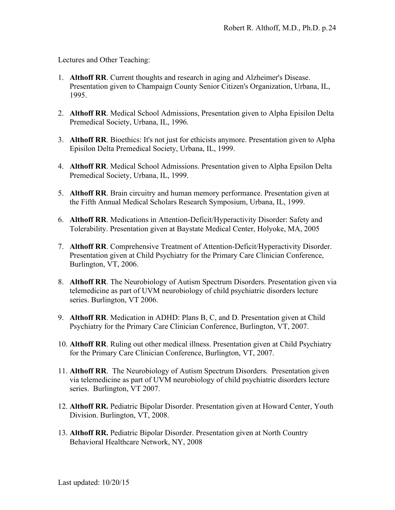Lectures and Other Teaching:

- 1. **Althoff RR**. Current thoughts and research in aging and Alzheimer's Disease. Presentation given to Champaign County Senior Citizen's Organization, Urbana, IL, 1995.
- 2. **Althoff RR**. Medical School Admissions, Presentation given to Alpha Episilon Delta Premedical Society, Urbana, IL, 1996.
- 3. **Althoff RR**. Bioethics: It's not just for ethicists anymore. Presentation given to Alpha Episilon Delta Premedical Society, Urbana, IL, 1999.
- 4. **Althoff RR**. Medical School Admissions. Presentation given to Alpha Epsilon Delta Premedical Society, Urbana, IL, 1999.
- 5. **Althoff RR**. Brain circuitry and human memory performance. Presentation given at the Fifth Annual Medical Scholars Research Symposium, Urbana, IL, 1999.
- 6. **Althoff RR**. Medications in Attention-Deficit/Hyperactivity Disorder: Safety and Tolerability. Presentation given at Baystate Medical Center, Holyoke, MA, 2005
- 7. **Althoff RR**. Comprehensive Treatment of Attention-Deficit/Hyperactivity Disorder. Presentation given at Child Psychiatry for the Primary Care Clinician Conference, Burlington, VT, 2006.
- 8. **Althoff RR**. The Neurobiology of Autism Spectrum Disorders. Presentation given via telemedicine as part of UVM neurobiology of child psychiatric disorders lecture series. Burlington, VT 2006.
- 9. **Althoff RR**. Medication in ADHD: Plans B, C, and D. Presentation given at Child Psychiatry for the Primary Care Clinician Conference, Burlington, VT, 2007.
- 10. **Althoff RR**. Ruling out other medical illness. Presentation given at Child Psychiatry for the Primary Care Clinician Conference, Burlington, VT, 2007.
- 11. **Althoff RR**. The Neurobiology of Autism Spectrum Disorders. Presentation given via telemedicine as part of UVM neurobiology of child psychiatric disorders lecture series. Burlington, VT 2007.
- 12. **Althoff RR.** Pediatric Bipolar Disorder. Presentation given at Howard Center, Youth Division. Burlington, VT, 2008.
- 13. **Althoff RR.** Pediatric Bipolar Disorder. Presentation given at North Country Behavioral Healthcare Network, NY, 2008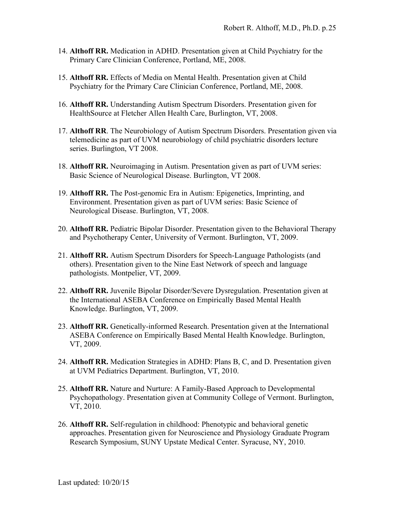- 14. **Althoff RR.** Medication in ADHD. Presentation given at Child Psychiatry for the Primary Care Clinician Conference, Portland, ME, 2008.
- 15. **Althoff RR.** Effects of Media on Mental Health. Presentation given at Child Psychiatry for the Primary Care Clinician Conference, Portland, ME, 2008.
- 16. **Althoff RR.** Understanding Autism Spectrum Disorders. Presentation given for HealthSource at Fletcher Allen Health Care, Burlington, VT, 2008.
- 17. **Althoff RR**. The Neurobiology of Autism Spectrum Disorders. Presentation given via telemedicine as part of UVM neurobiology of child psychiatric disorders lecture series. Burlington, VT 2008.
- 18. **Althoff RR.** Neuroimaging in Autism. Presentation given as part of UVM series: Basic Science of Neurological Disease. Burlington, VT 2008.
- 19. **Althoff RR.** The Post-genomic Era in Autism: Epigenetics, Imprinting, and Environment. Presentation given as part of UVM series: Basic Science of Neurological Disease. Burlington, VT, 2008.
- 20. **Althoff RR.** Pediatric Bipolar Disorder. Presentation given to the Behavioral Therapy and Psychotherapy Center, University of Vermont. Burlington, VT, 2009.
- 21. **Althoff RR.** Autism Spectrum Disorders for Speech-Language Pathologists (and others). Presentation given to the Nine East Network of speech and language pathologists. Montpelier, VT, 2009.
- 22. **Althoff RR.** Juvenile Bipolar Disorder/Severe Dysregulation. Presentation given at the International ASEBA Conference on Empirically Based Mental Health Knowledge. Burlington, VT, 2009.
- 23. **Althoff RR.** Genetically-informed Research. Presentation given at the International ASEBA Conference on Empirically Based Mental Health Knowledge. Burlington, VT, 2009.
- 24. **Althoff RR.** Medication Strategies in ADHD: Plans B, C, and D. Presentation given at UVM Pediatrics Department. Burlington, VT, 2010.
- 25. **Althoff RR.** Nature and Nurture: A Family-Based Approach to Developmental Psychopathology. Presentation given at Community College of Vermont. Burlington, VT, 2010.
- 26. **Althoff RR.** Self-regulation in childhood: Phenotypic and behavioral genetic approaches. Presentation given for Neuroscience and Physiology Graduate Program Research Symposium, SUNY Upstate Medical Center. Syracuse, NY, 2010.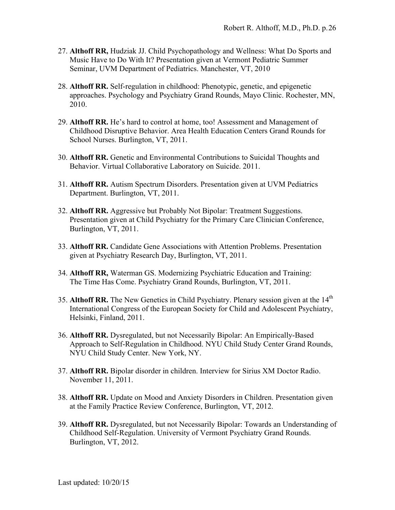- 27. **Althoff RR,** Hudziak JJ. Child Psychopathology and Wellness: What Do Sports and Music Have to Do With It? Presentation given at Vermont Pediatric Summer Seminar, UVM Department of Pediatrics. Manchester, VT, 2010
- 28. **Althoff RR.** Self-regulation in childhood: Phenotypic, genetic, and epigenetic approaches. Psychology and Psychiatry Grand Rounds, Mayo Clinic. Rochester, MN, 2010.
- 29. **Althoff RR.** He's hard to control at home, too! Assessment and Management of Childhood Disruptive Behavior. Area Health Education Centers Grand Rounds for School Nurses. Burlington, VT, 2011.
- 30. **Althoff RR.** Genetic and Environmental Contributions to Suicidal Thoughts and Behavior. Virtual Collaborative Laboratory on Suicide. 2011.
- 31. **Althoff RR.** Autism Spectrum Disorders. Presentation given at UVM Pediatrics Department. Burlington, VT, 2011.
- 32. **Althoff RR.** Aggressive but Probably Not Bipolar: Treatment Suggestions. Presentation given at Child Psychiatry for the Primary Care Clinician Conference, Burlington, VT, 2011.
- 33. **Althoff RR.** Candidate Gene Associations with Attention Problems. Presentation given at Psychiatry Research Day, Burlington, VT, 2011.
- 34. **Althoff RR,** Waterman GS. Modernizing Psychiatric Education and Training: The Time Has Come. Psychiatry Grand Rounds, Burlington, VT, 2011.
- 35. **Althoff RR.** The New Genetics in Child Psychiatry. Plenary session given at the 14<sup>th</sup> International Congress of the European Society for Child and Adolescent Psychiatry, Helsinki, Finland, 2011.
- 36. **Althoff RR.** Dysregulated, but not Necessarily Bipolar: An Empirically-Based Approach to Self-Regulation in Childhood. NYU Child Study Center Grand Rounds, NYU Child Study Center. New York, NY.
- 37. **Althoff RR.** Bipolar disorder in children. Interview for Sirius XM Doctor Radio. November 11, 2011.
- 38. **Althoff RR.** Update on Mood and Anxiety Disorders in Children. Presentation given at the Family Practice Review Conference, Burlington, VT, 2012.
- 39. **Althoff RR.** Dysregulated, but not Necessarily Bipolar: Towards an Understanding of Childhood Self-Regulation. University of Vermont Psychiatry Grand Rounds. Burlington, VT, 2012.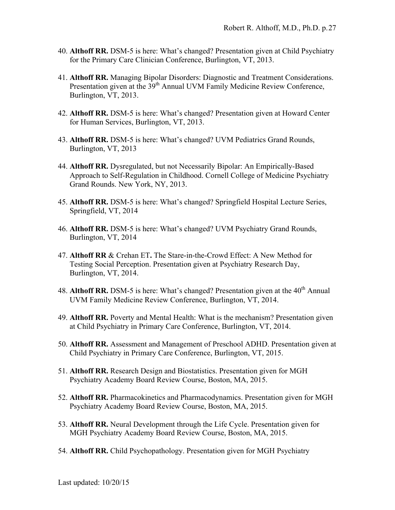- 40. **Althoff RR.** DSM-5 is here: What's changed? Presentation given at Child Psychiatry for the Primary Care Clinician Conference, Burlington, VT, 2013.
- 41. **Althoff RR.** Managing Bipolar Disorders: Diagnostic and Treatment Considerations. Presentation given at the 39<sup>th</sup> Annual UVM Family Medicine Review Conference, Burlington, VT, 2013.
- 42. **Althoff RR.** DSM-5 is here: What's changed? Presentation given at Howard Center for Human Services, Burlington, VT, 2013.
- 43. **Althoff RR.** DSM-5 is here: What's changed? UVM Pediatrics Grand Rounds, Burlington, VT, 2013
- 44. **Althoff RR.** Dysregulated, but not Necessarily Bipolar: An Empirically-Based Approach to Self-Regulation in Childhood. Cornell College of Medicine Psychiatry Grand Rounds. New York, NY, 2013.
- 45. **Althoff RR.** DSM-5 is here: What's changed? Springfield Hospital Lecture Series, Springfield, VT, 2014
- 46. **Althoff RR.** DSM-5 is here: What's changed? UVM Psychiatry Grand Rounds, Burlington, VT, 2014
- 47. **Althoff RR** & Crehan ET**.** The Stare-in-the-Crowd Effect: A New Method for Testing Social Perception. Presentation given at Psychiatry Research Day, Burlington, VT, 2014.
- 48. **Althoff RR.** DSM-5 is here: What's changed? Presentation given at the 40<sup>th</sup> Annual UVM Family Medicine Review Conference, Burlington, VT, 2014.
- 49. **Althoff RR.** Poverty and Mental Health: What is the mechanism? Presentation given at Child Psychiatry in Primary Care Conference, Burlington, VT, 2014.
- 50. **Althoff RR.** Assessment and Management of Preschool ADHD. Presentation given at Child Psychiatry in Primary Care Conference, Burlington, VT, 2015.
- 51. **Althoff RR.** Research Design and Biostatistics. Presentation given for MGH Psychiatry Academy Board Review Course, Boston, MA, 2015.
- 52. **Althoff RR.** Pharmacokinetics and Pharmacodynamics. Presentation given for MGH Psychiatry Academy Board Review Course, Boston, MA, 2015.
- 53. **Althoff RR.** Neural Development through the Life Cycle. Presentation given for MGH Psychiatry Academy Board Review Course, Boston, MA, 2015.
- 54. **Althoff RR.** Child Psychopathology. Presentation given for MGH Psychiatry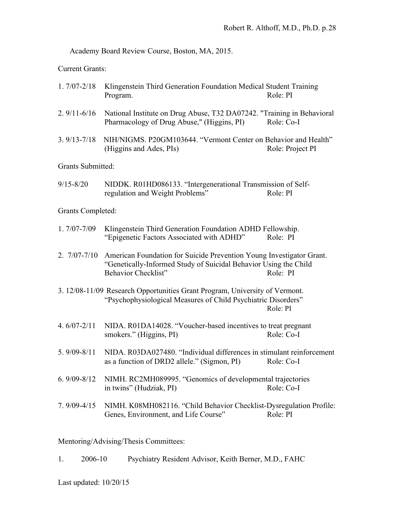Academy Board Review Course, Boston, MA, 2015.

Current Grants:

| 1. 7/07-2/18 Klingenstein Third Generation Foundation Medical Student Training |          |
|--------------------------------------------------------------------------------|----------|
| Program.                                                                       | Role: PI |

- 2. 9/11-6/16 National Institute on Drug Abuse, T32 DA07242. "Training in Behavioral Pharmacology of Drug Abuse," (Higgins, PI) Role: Co-I
- 3. 9/13-7/18 NIH/NIGMS. P20GM103644. "Vermont Center on Behavior and Health" (Higgins and Ades, PIs) Role: Project PI

Grants Submitted:

9/15-8/20 NIDDK. R01HD086133. "Intergenerational Transmission of Selfregulation and Weight Problems" Role: PI

Grants Completed:

- 1. 7/07-7/09 Klingenstein Third Generation Foundation ADHD Fellowship. "Epigenetic Factors Associated with ADHD" Role: PI
- 2. 7/07-7/10 American Foundation for Suicide Prevention Young Investigator Grant. "Genetically-Informed Study of Suicidal Behavior Using the Child Behavior Checklist" Role: PI
- 3. 12/08-11/09 Research Opportunities Grant Program, University of Vermont. "Psychophysiological Measures of Child Psychiatric Disorders" Role: PI
- 4. 6/07-2/11 NIDA. R01DA14028. "Voucher-based incentives to treat pregnant smokers." (Higgins, PI) Role: Co-I
- 5. 9/09-8/11 NIDA. R03DA027480. "Individual differences in stimulant reinforcement as a function of DRD2 allele." (Sigmon, PI) Role: Co-I
- 6. 9/09-8/12 NIMH. RC2MH089995. "Genomics of developmental trajectories in twins" (Hudziak, PI) Role: Co-I
- 7. 9/09-4/15 NIMH. K08MH082116. "Child Behavior Checklist-Dysregulation Profile: Genes, Environment, and Life Course" Role: PI

Mentoring/Advising/Thesis Committees:

1. 2006-10 Psychiatry Resident Advisor, Keith Berner, M.D., FAHC

Last updated: 10/20/15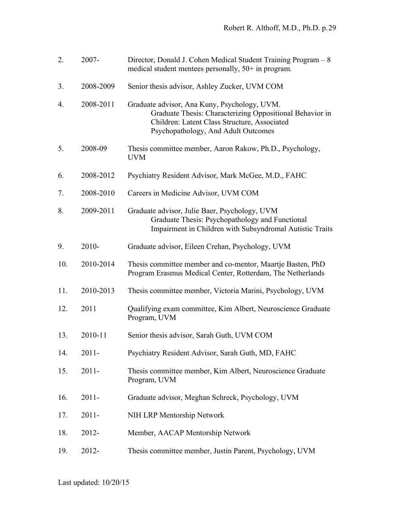| 2.  | 2007-     | Director, Donald J. Cohen Medical Student Training Program – 8<br>medical student mentees personally, $50+$ in program.                                                                         |
|-----|-----------|-------------------------------------------------------------------------------------------------------------------------------------------------------------------------------------------------|
| 3.  | 2008-2009 | Senior thesis advisor, Ashley Zucker, UVM COM                                                                                                                                                   |
| 4.  | 2008-2011 | Graduate advisor, Ana Kuny, Psychology, UVM.<br>Graduate Thesis: Characterizing Oppositional Behavior in<br>Children: Latent Class Structure, Associated<br>Psychopathology, And Adult Outcomes |
| 5.  | 2008-09   | Thesis committee member, Aaron Rakow, Ph.D., Psychology,<br><b>UVM</b>                                                                                                                          |
| 6.  | 2008-2012 | Psychiatry Resident Advisor, Mark McGee, M.D., FAHC                                                                                                                                             |
| 7.  | 2008-2010 | Careers in Medicine Advisor, UVM COM                                                                                                                                                            |
| 8.  | 2009-2011 | Graduate advisor, Julie Baer, Psychology, UVM<br>Graduate Thesis: Psychopathology and Functional<br>Impairment in Children with Subsyndromal Autistic Traits                                    |
| 9.  | $2010 -$  | Graduate advisor, Eileen Crehan, Psychology, UVM                                                                                                                                                |
| 10. | 2010-2014 | Thesis committee member and co-mentor, Maartje Basten, PhD<br>Program Erasmus Medical Center, Rotterdam, The Netherlands                                                                        |
| 11. | 2010-2013 | Thesis committee member, Victoria Marini, Psychology, UVM                                                                                                                                       |
| 12. | 2011      | Qualifying exam committee, Kim Albert, Neuroscience Graduate<br>Program, UVM                                                                                                                    |
| 13. | 2010-11   | Senior thesis advisor, Sarah Guth, UVM COM                                                                                                                                                      |
| 14. | $2011 -$  | Psychiatry Resident Advisor, Sarah Guth, MD, FAHC                                                                                                                                               |
| 15. | $2011 -$  | Thesis committee member, Kim Albert, Neuroscience Graduate<br>Program, UVM                                                                                                                      |
| 16. | $2011 -$  | Graduate advisor, Meghan Schreck, Psychology, UVM                                                                                                                                               |
| 17. | $2011 -$  | NIH LRP Mentorship Network                                                                                                                                                                      |
| 18. | 2012-     | Member, AACAP Mentorship Network                                                                                                                                                                |
| 19. | 2012-     | Thesis committee member, Justin Parent, Psychology, UVM                                                                                                                                         |